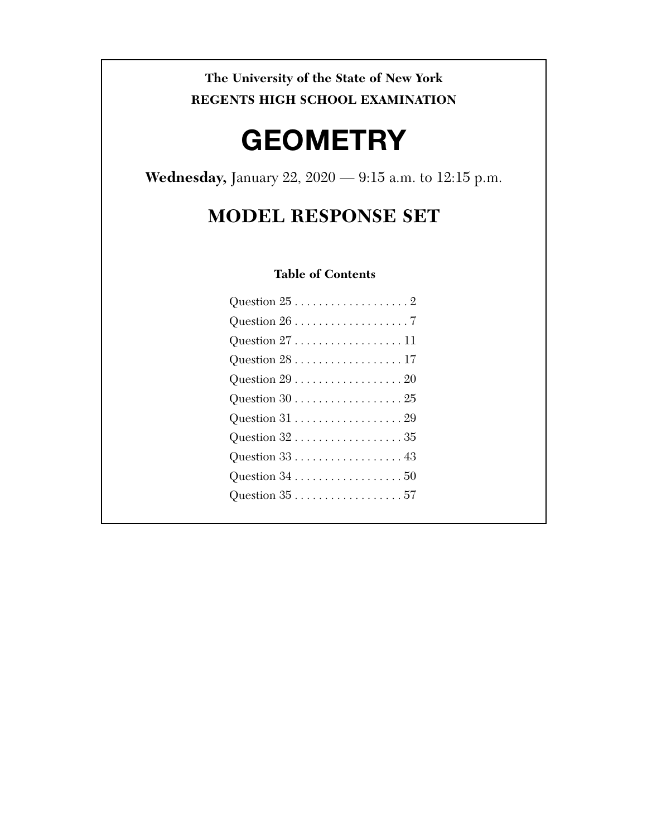### **The University of the State of New York REGENTS HIGH SCHOOL EXAMINATION**

# **GEOMETRY**

**Wednesday,** January 22, 2020 — 9:15 a.m. to 12:15 p.m.

## **MODEL RESPONSE SET**

#### **Table of Contents**

| Question $27$ 11 |
|------------------|
| Question $28$ 17 |
| Question $29$ 20 |
|                  |
|                  |
| Question $32$ 35 |
|                  |
|                  |
|                  |
|                  |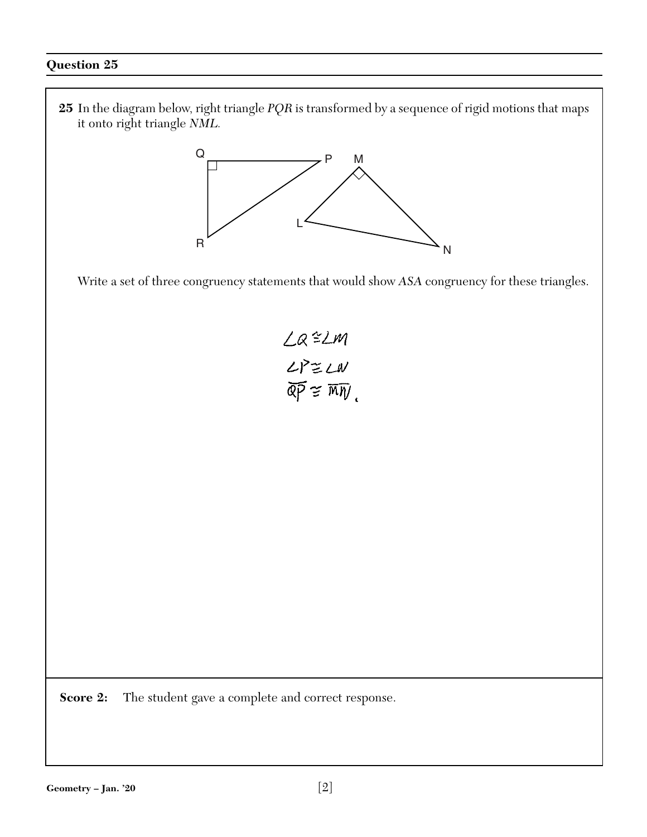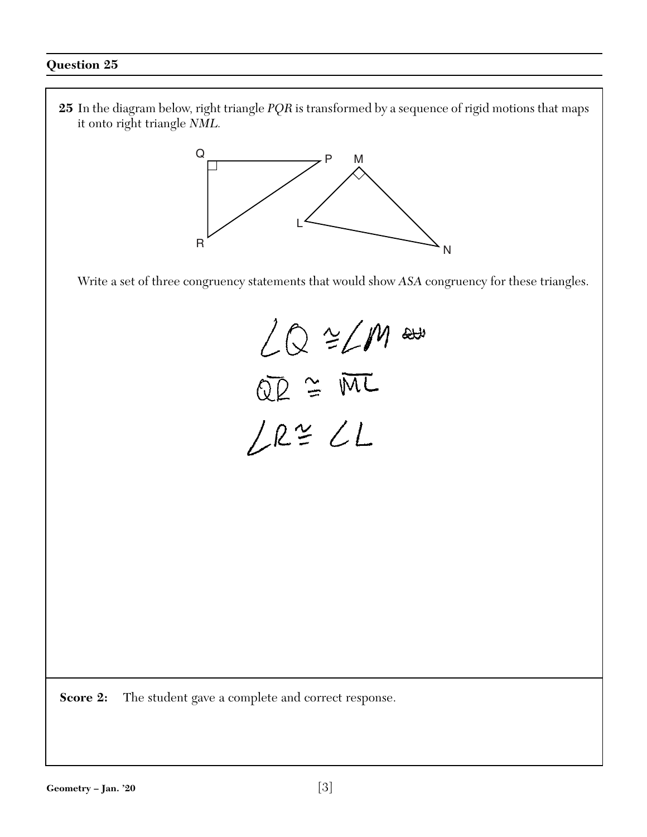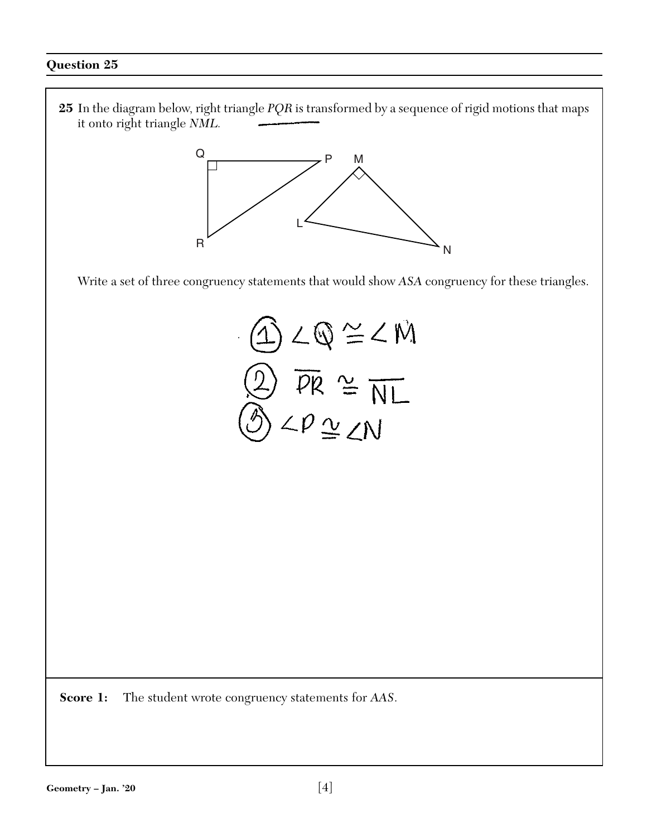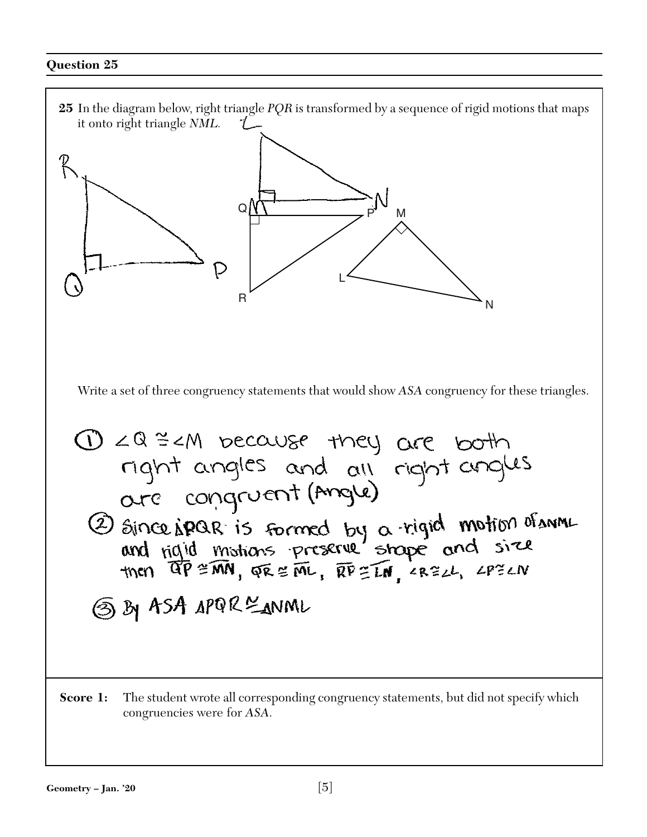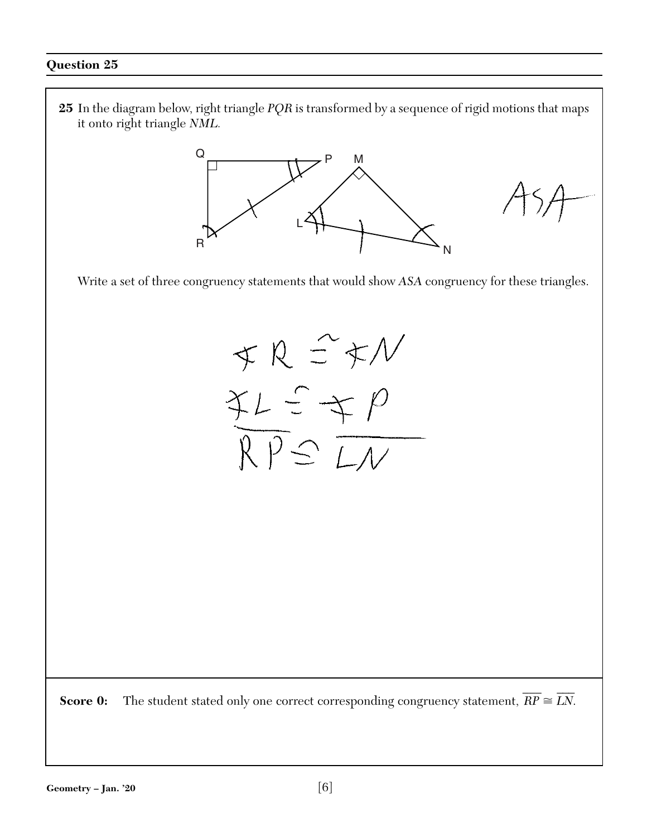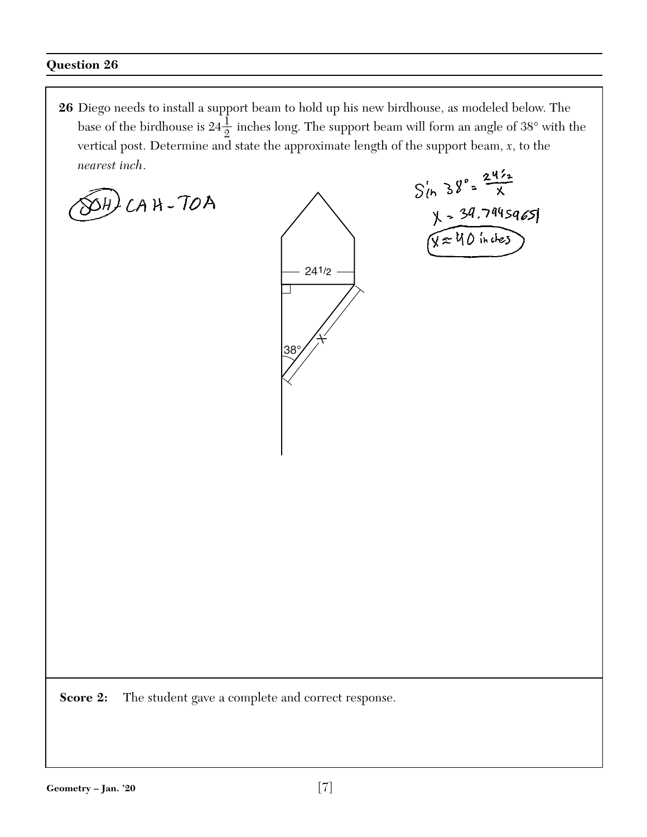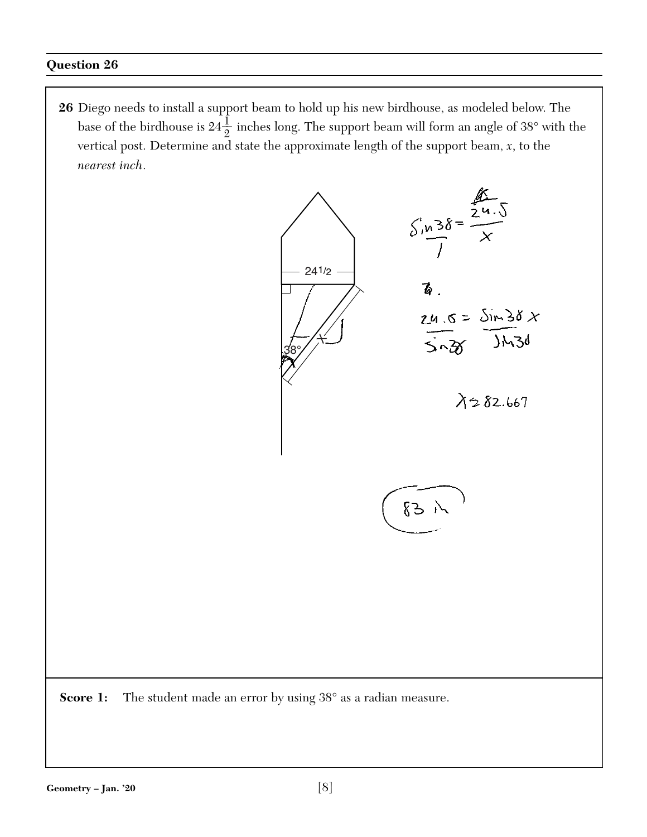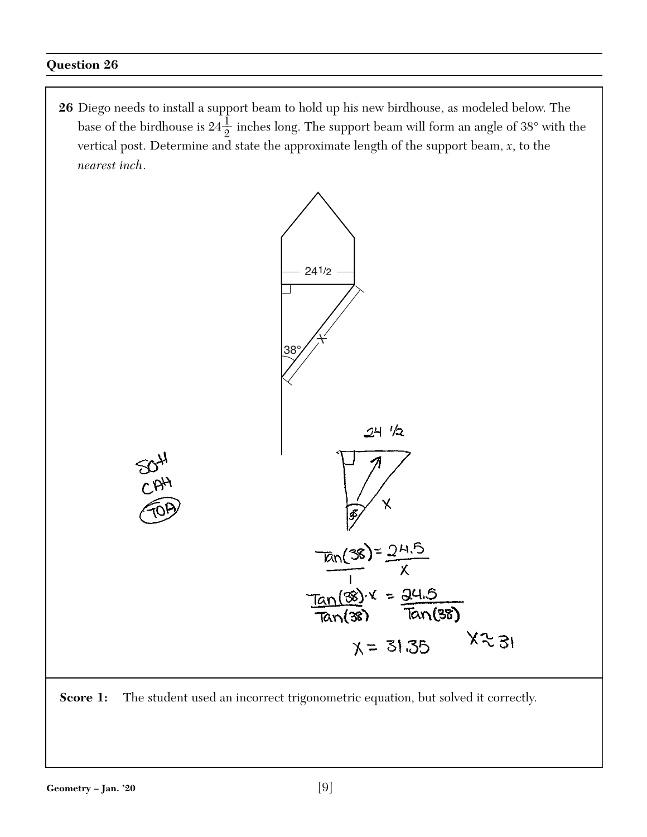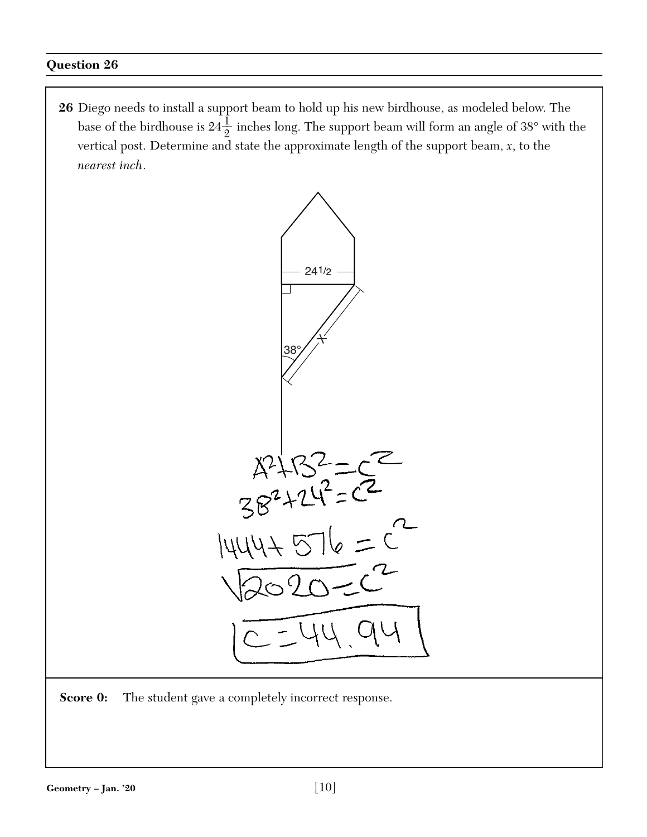

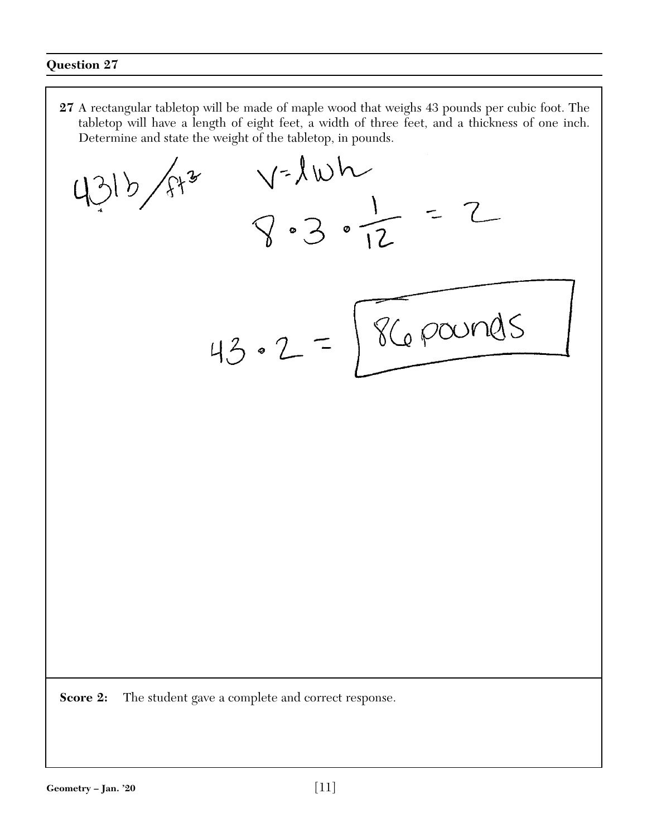**27** A rectangular tabletop will be made of maple wood that weighs 43 pounds per cubic foot. The tabletop will have a length of eight feet, a width of three feet, and a thickness of one inch. Determine and state the weight of the tabletop, in pounds.

 $y=\sqrt{w}-1$ <br> $8-3-7=2$ 315/813 1 86 pounds  $43.2 =$ **Score 2:** The student gave a complete and correct response.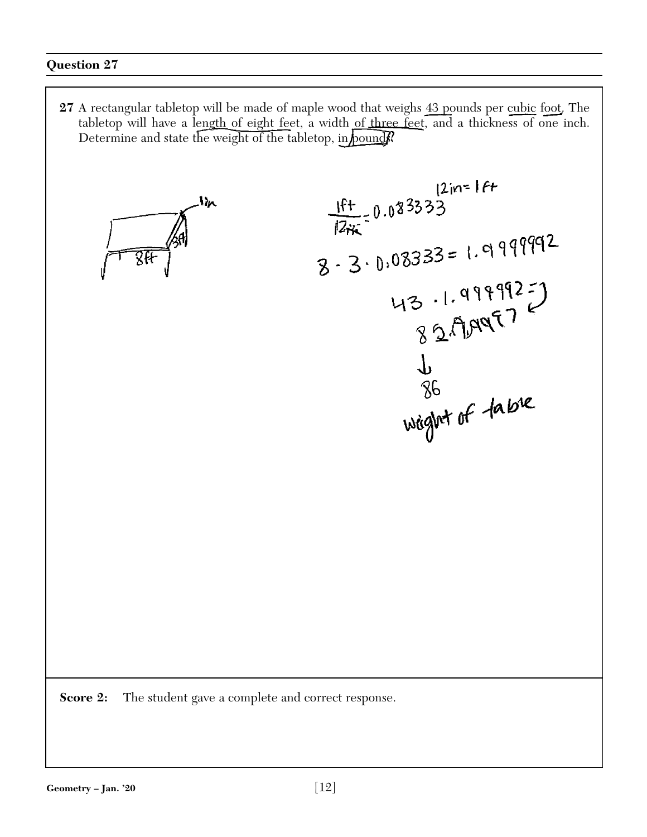**27** A rectangular tabletop will be made of maple wood that weighs 43 pounds per cubic foot. The tabletop will have a length of eight feet, a width of three feet, and a thickness of one inch. Determine and state the weight of the tabletop, in pound

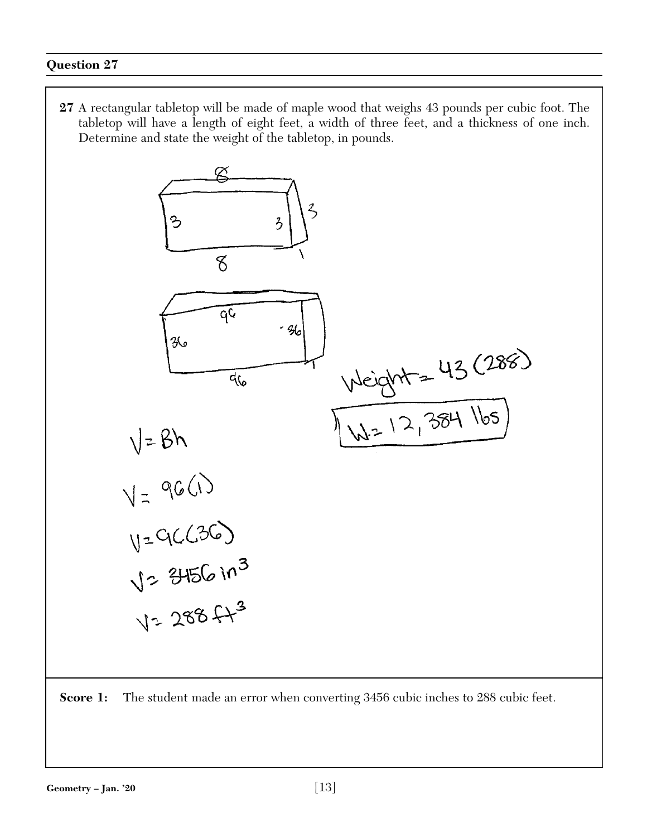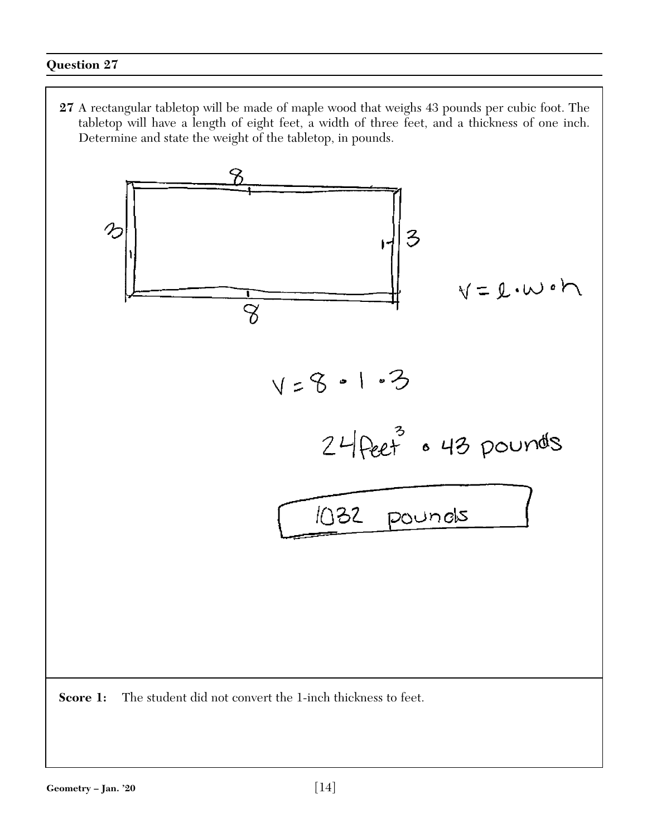**27** A rectangular tabletop will be made of maple wood that weighs 43 pounds per cubic foot. The tabletop will have a length of eight feet, a width of three feet, and a thickness of one inch. Determine and state the weight of the tabletop, in pounds.

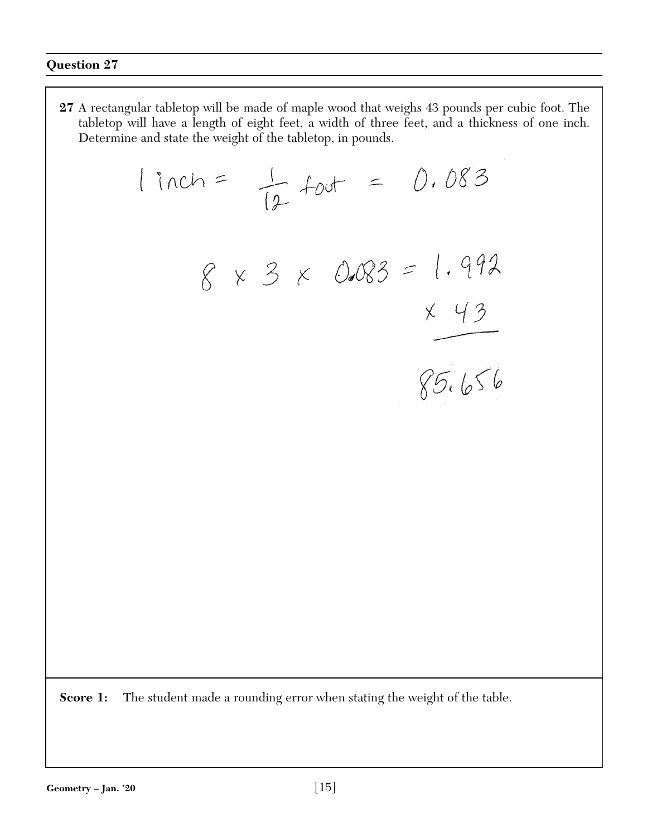**27** A rectangular tabletop will be made of maple wood that weighs 43 pounds per cubic foot. The tabletop will have a length of eight feet, a width of three feet, and a thickness of one inch. Determine and state the weight of the tabletop, in pounds.

$$
linch = \frac{1}{l^{2}}foot = 0.083
$$
  
8 x 3 x 0.083 = 1.992  
x 43  
85.656

**Score 1:** The student made a rounding error when stating the weight of the table.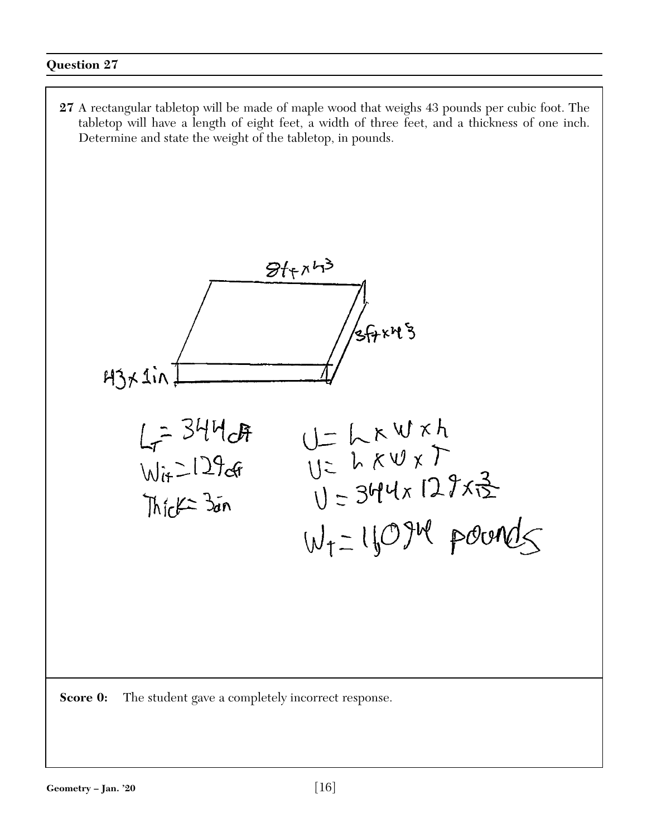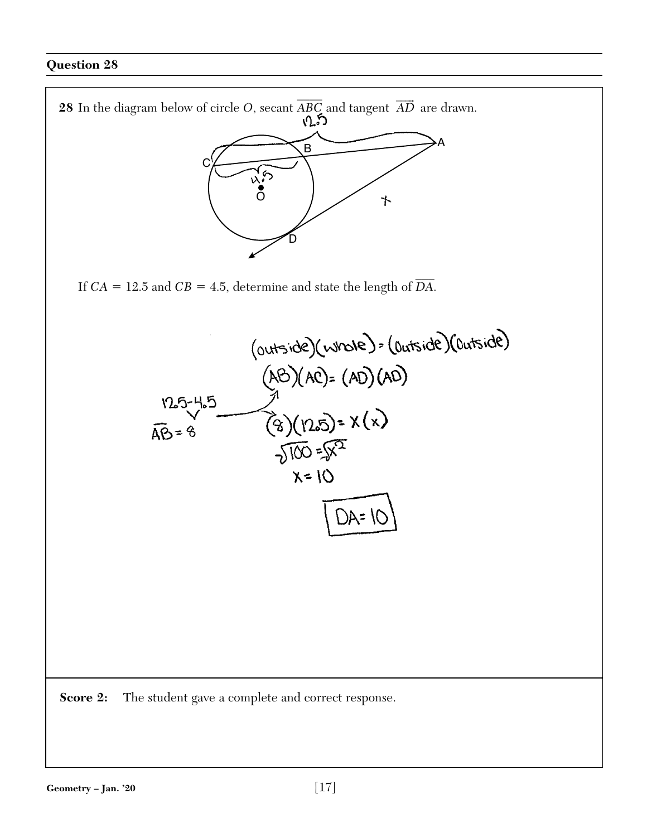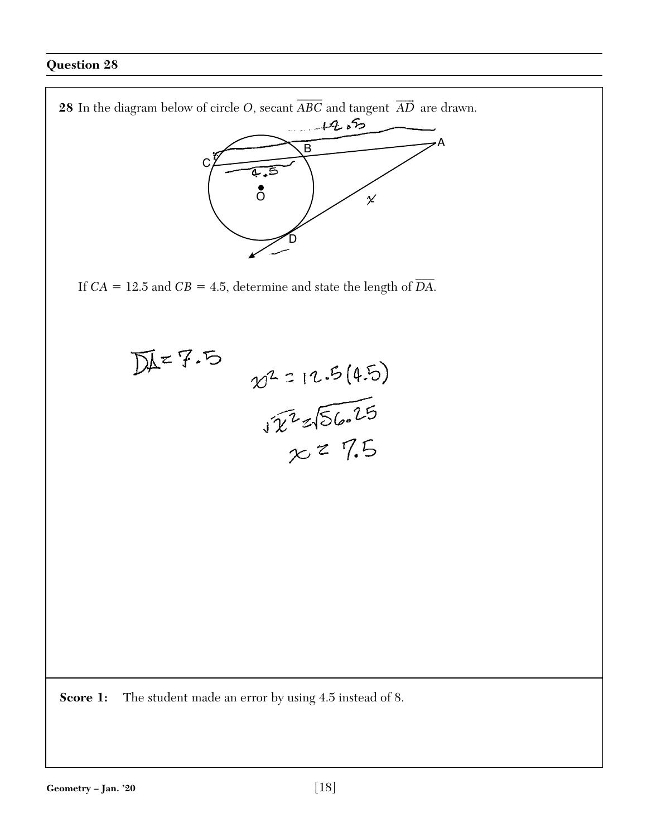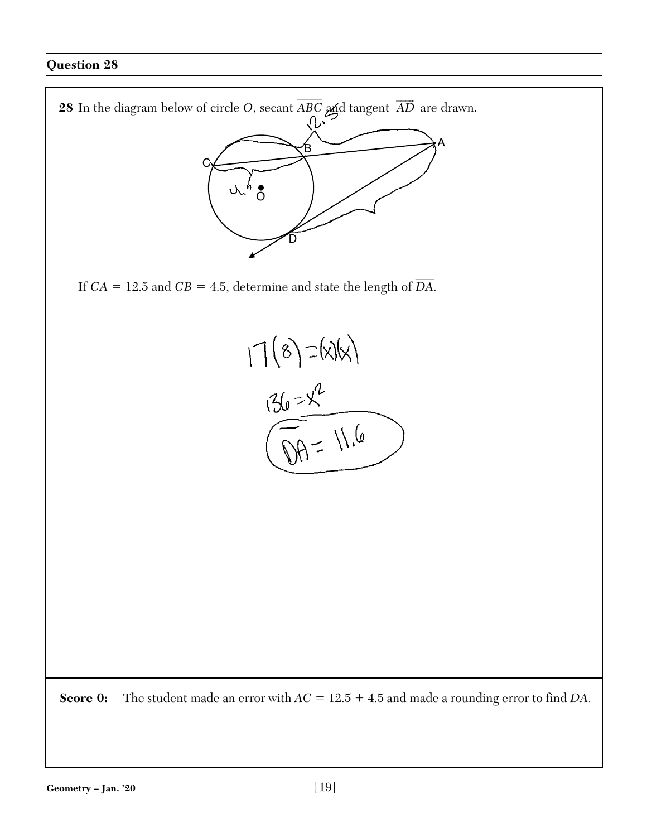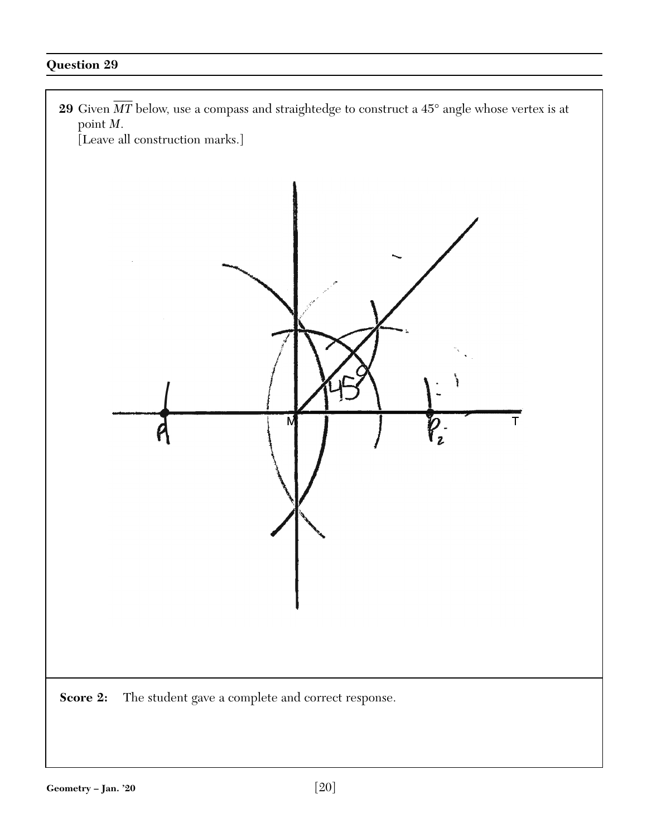**29** Given  $\overline{MT}$  below, use a compass and straightedge to construct a 45° angle whose vertex is at point *M*.

[Leave all construction marks.]

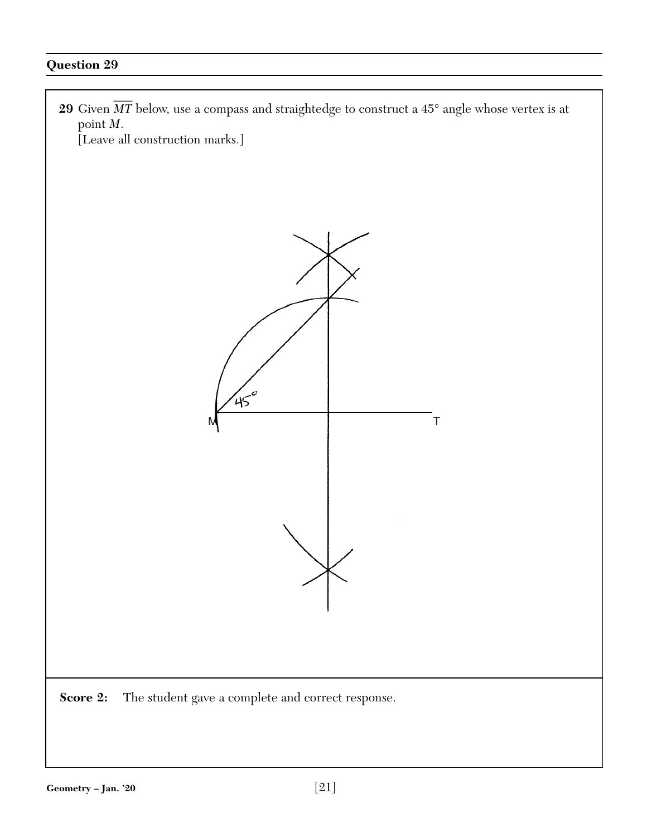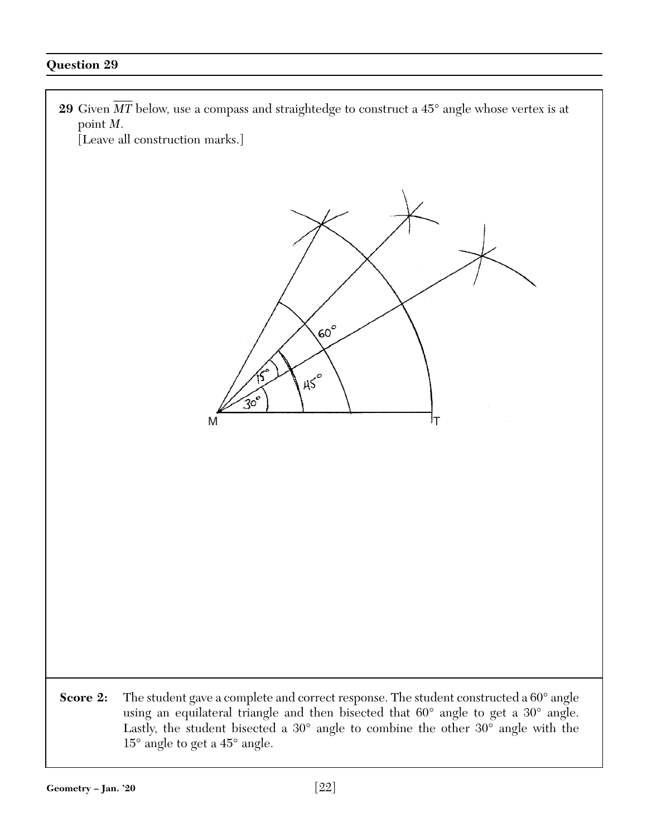**29** Given  $\overline{MT}$  below, use a compass and straightedge to construct a 45° angle whose vertex is at point *M*.

[Leave all construction marks.]



**Score 2:** The student gave a complete and correct response. The student constructed a 60° angle using an equilateral triangle and then bisected that 60° angle to get a 30° angle. Lastly, the student bisected a 30° angle to combine the other 30° angle with the 15° angle to get a 45° angle.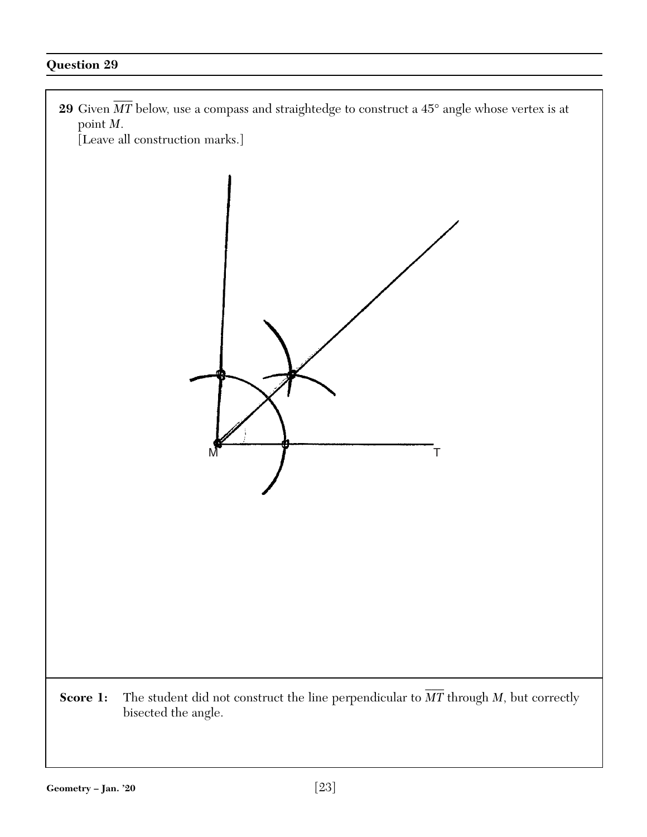

[Leave all construction marks.]



**Score 1:** The student did not construct the line perpendicular to  $\overline{MT}$  through *M*, but correctly bisected the angle.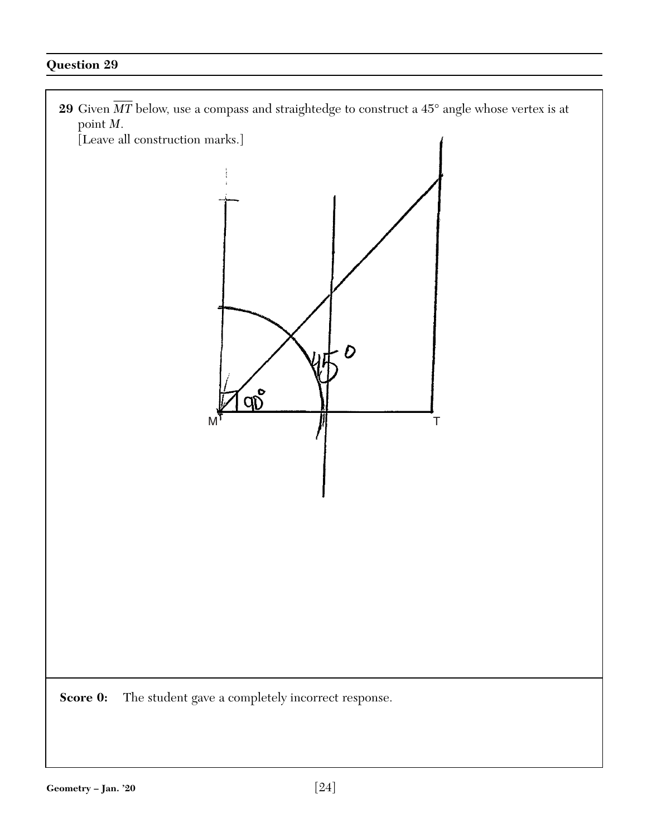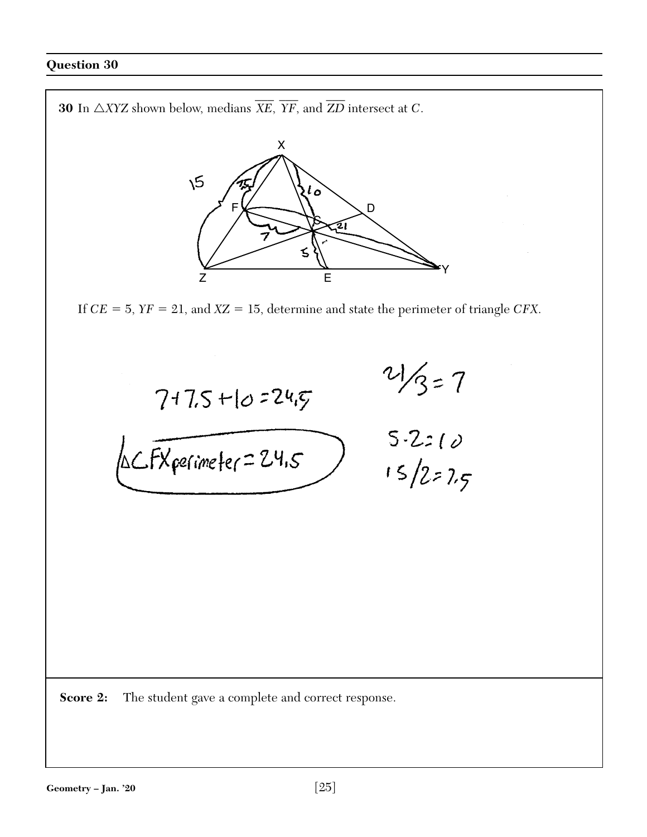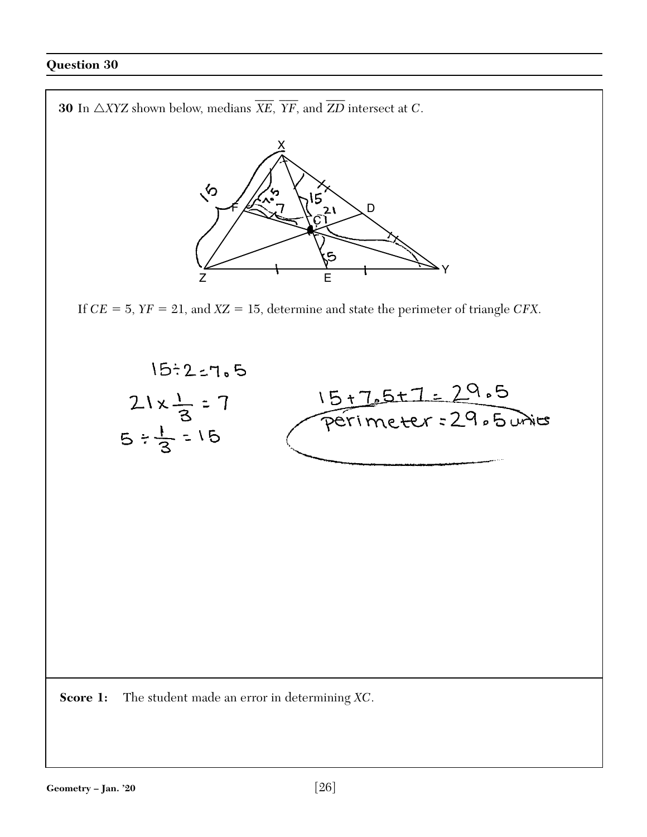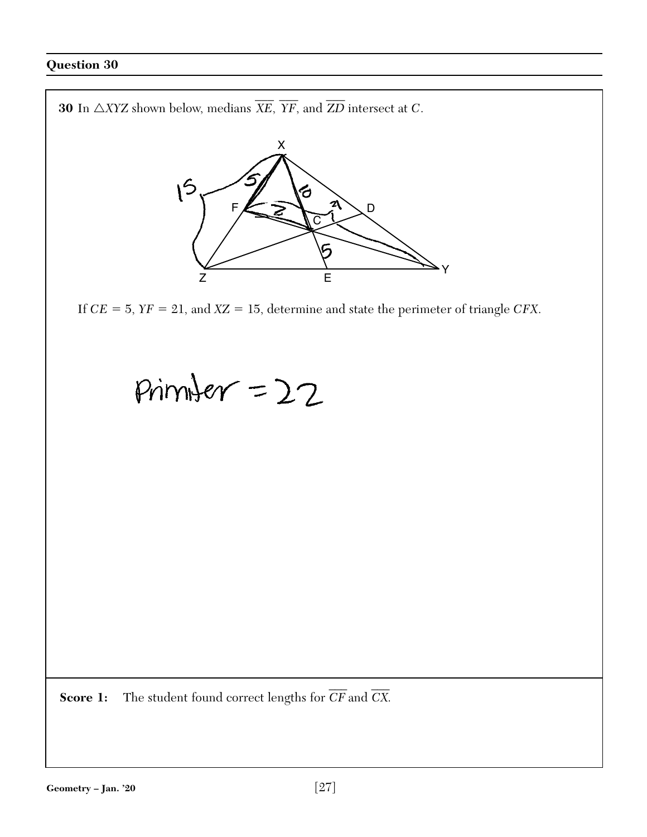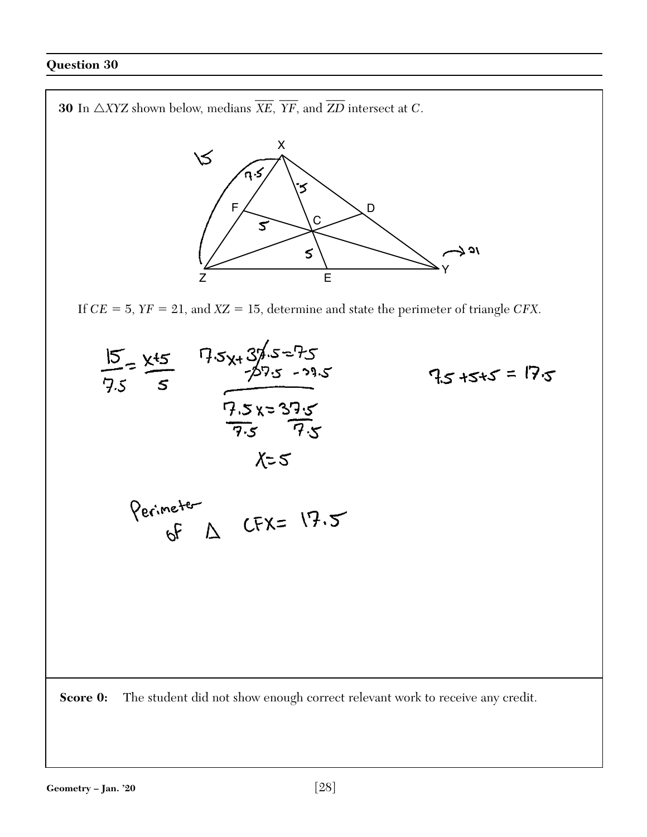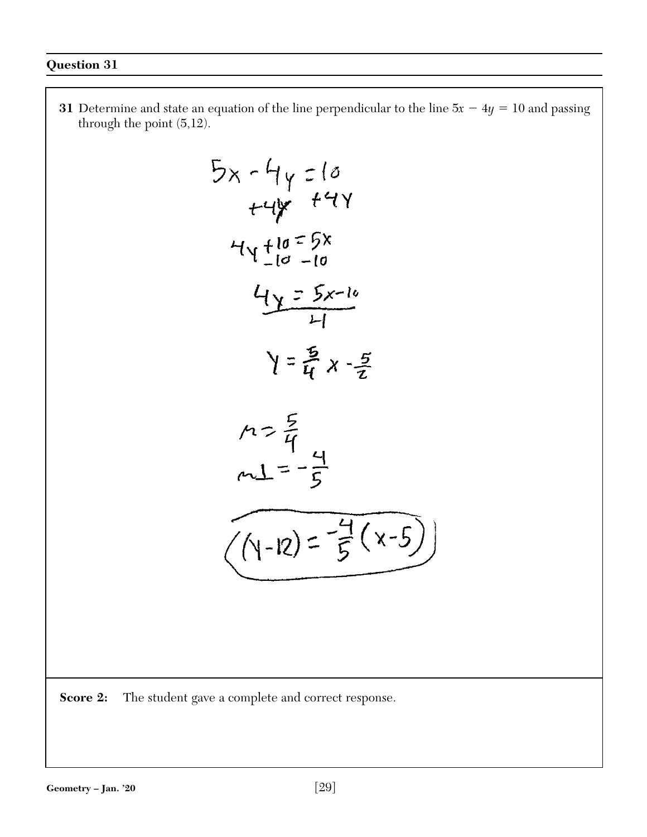**31** Determine and state an equation of the line perpendicular to the line  $5x - 4y = 10$  and passing through the point (5,12).

$$
5x - 4y = 10
$$
  
\n
$$
44y + 44y
$$
  
\n
$$
44 + 10 = 5x
$$
  
\n
$$
44 + 10 = 5x
$$
  
\n
$$
44 = 5x-10
$$
  
\n
$$
44 = 5x-10
$$
  
\n
$$
44 = 5x-10
$$
  
\n
$$
44 = 5x-10
$$
  
\n
$$
44 = 5x-10
$$
  
\n
$$
44 = 5x-10
$$
  
\n
$$
44 = 5x-10
$$
  
\n
$$
44 = 5x-10
$$
  
\n
$$
44 = 5x-10
$$
  
\n
$$
44 = 5x-10
$$
  
\n
$$
44 = 5x-10
$$
  
\n
$$
44 = 5x-10
$$
  
\n
$$
44 = 5x-10
$$
  
\n
$$
44 = 5x-10
$$
  
\n
$$
44 = 5x-10
$$
  
\n
$$
44 = 5x-10
$$
  
\n
$$
44 = 5x-10
$$
  
\n
$$
44 = 5x-10
$$
  
\n
$$
44 = 5x-10
$$
  
\n
$$
44 = 5x-10
$$
  
\n
$$
44 = 5x-10
$$
  
\n
$$
44 = 5x-10
$$
  
\n
$$
44 = 5x-10
$$
  
\n
$$
44 = 5x-10
$$
  
\n
$$
44 = 5x-10
$$
  
\n
$$
44 = 5x-10
$$
  
\n
$$
44 = 5x-10
$$
  
\n
$$
44 = 5x-10
$$
  
\n
$$
44 = 5x-10
$$
  
\n
$$
44 = 5x-10
$$
  
\n
$$
44 = 5x-10
$$
  
\n
$$
44 = 5x-10
$$
  
\n
$$
4
$$

**Score 2:** The student gave a complete and correct response.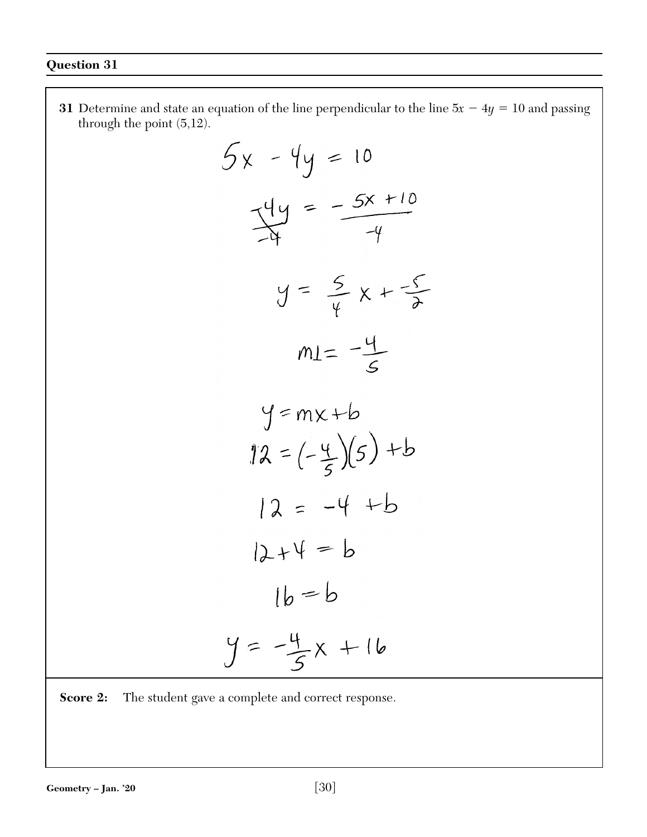**31** Determine and state an equation of the line perpendicular to the line  $5x - 4y = 10$  and passing through the point (5,12).  $5x - 4y = 10$  $y = \frac{-5x + 10}{-4}$  $y = \frac{5}{4}x + \frac{5}{6}$  $mI = -\frac{4}{5}$  $y = mx+b$  $12 = (-\frac{4}{5})(5) + b$  $12 = -4 + b$  $12+4=6$  $16 = b$  $y = -\frac{4}{5}x + 16$ 

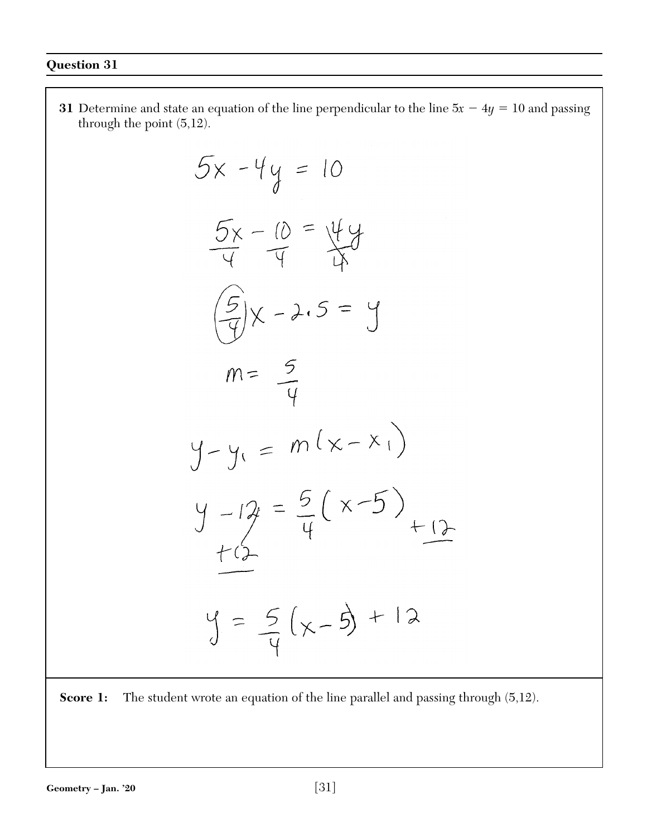**31** Determine and state an equation of the line perpendicular to the line  $5x - 4y = 10$  and passing through the point (5,12).  $5x - 4y = 10$  $rac{5x-10}{4} = \frac{44}{4}$  $\frac{1}{9}x - 2.5 = y$  $m = \frac{5}{4}$  $y - y_1 = m(x - x_1)$  $y - 12 = \frac{5}{4}(x-5)$  $+$ ()  $y = 5(x-5) + 12$ 

**Score 1:** The student wrote an equation of the line parallel and passing through  $(5,12)$ .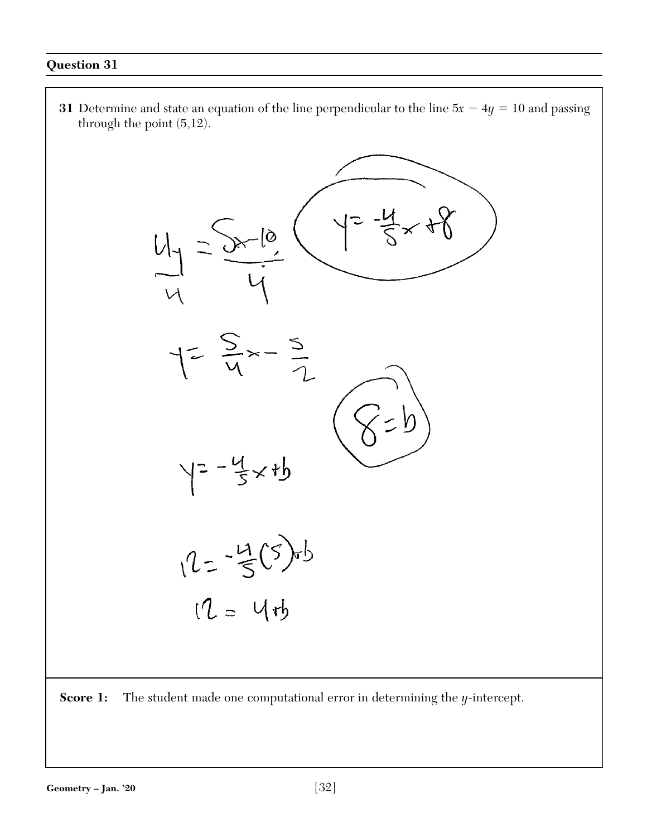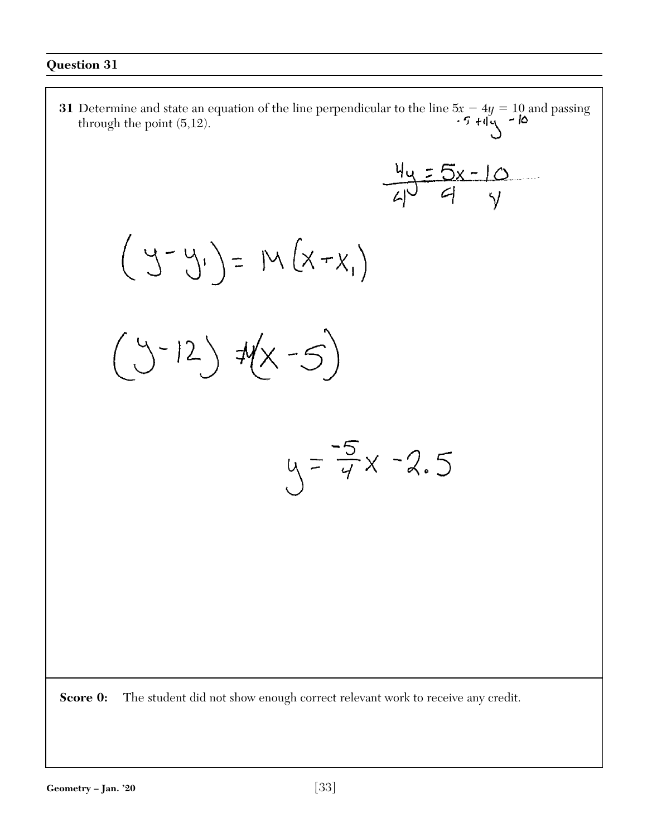**31** Determine and state an equation of the line perpendicular to the line  $5x - 4y = 10$  and passing through the point (5,12).  $\frac{4y}{4y} = 5x - 10$  $(y-y_i) = M(x-x_i)$  $(y-12)$   $\forall x-5)$  $y = \frac{-5}{4}x - 2.5$ 

**Score 0:** The student did not show enough correct relevant work to receive any credit.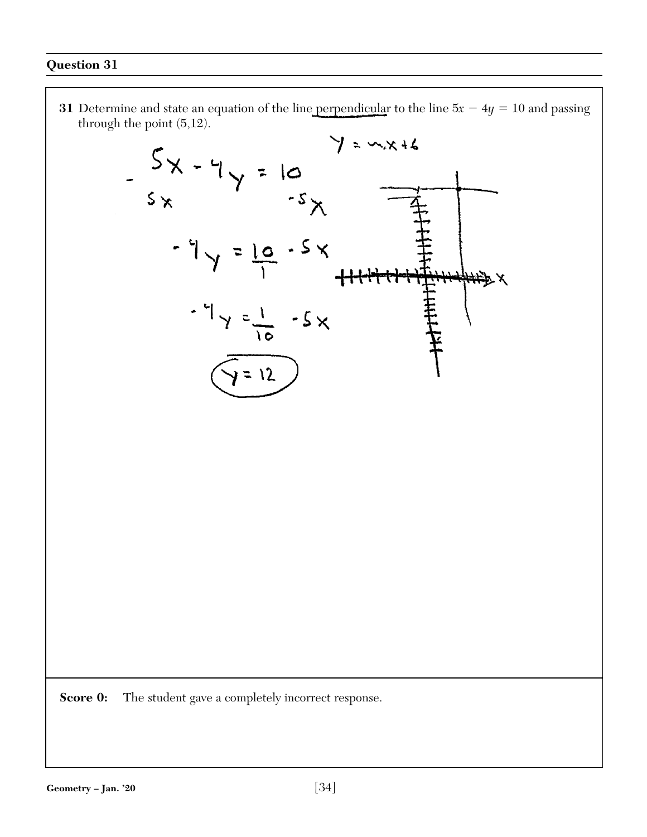**31** Determine and state an equation of the line perpendicular to the line  $5x - 4y = 10$  and passing through the point (5,12).



**Score 0:** The student gave a completely incorrect response.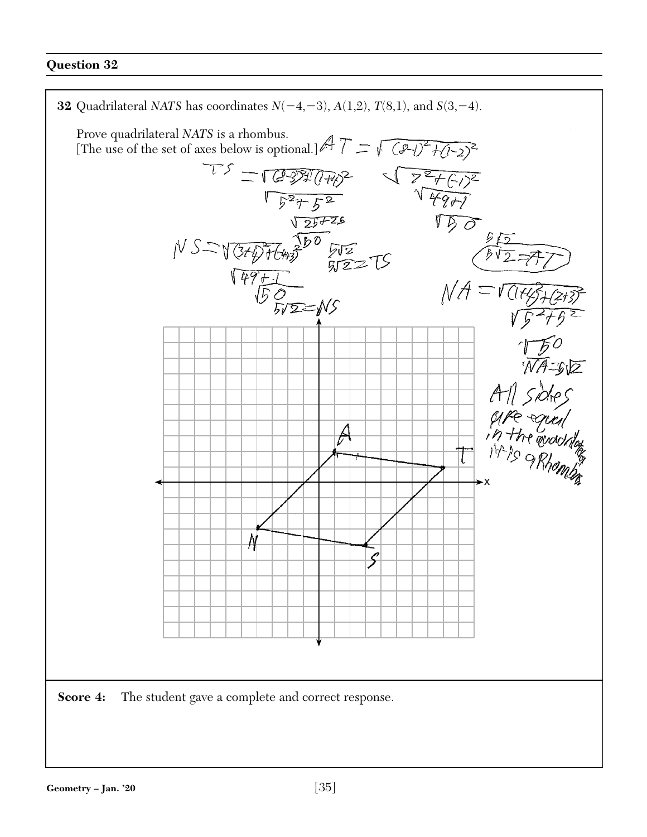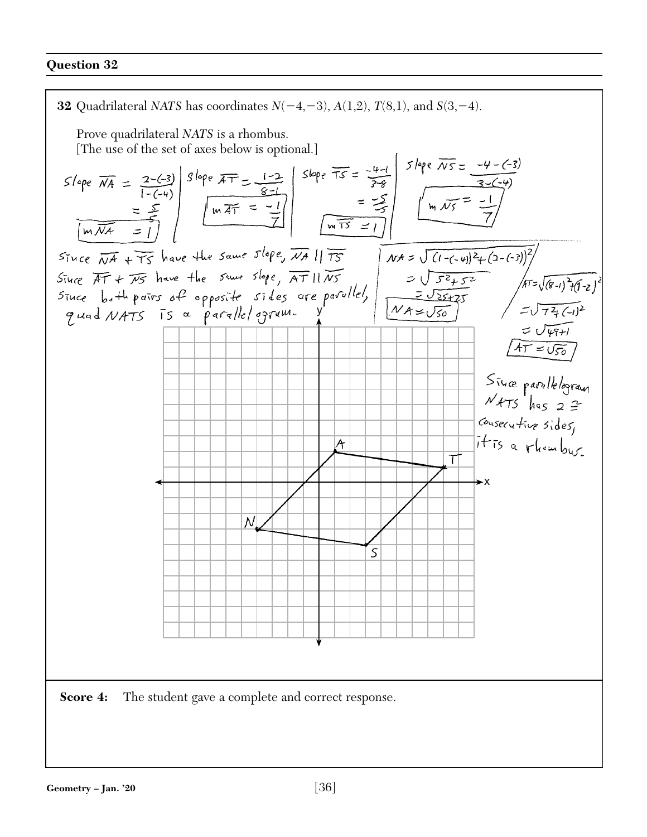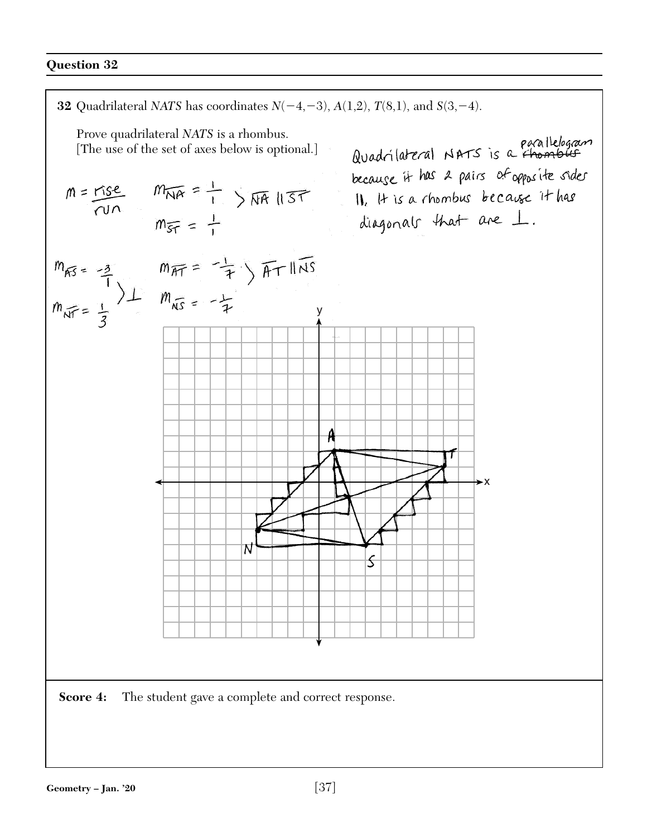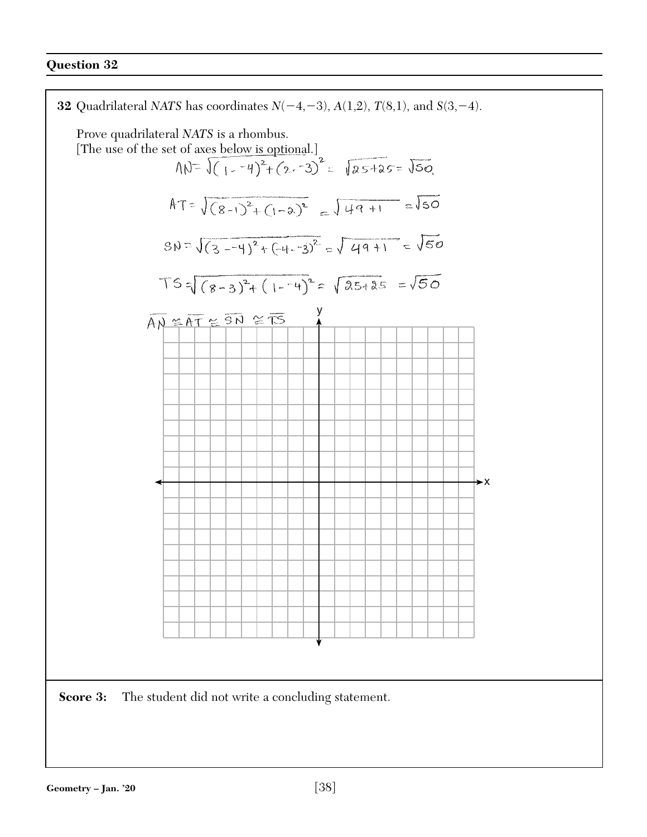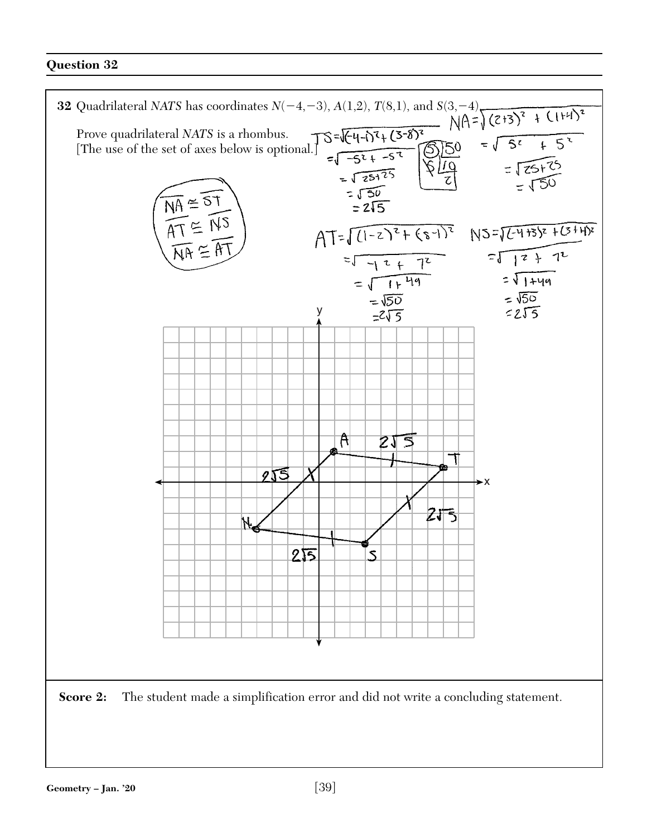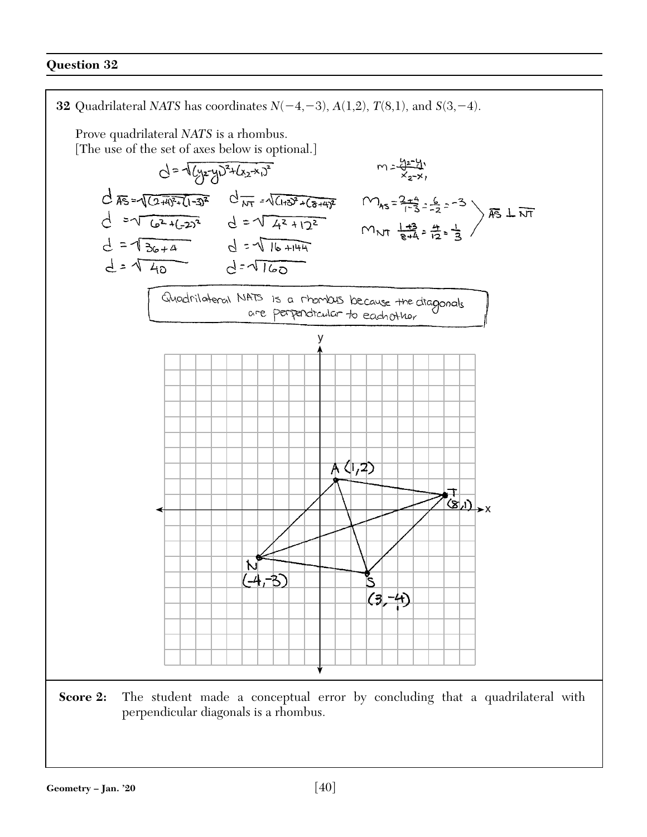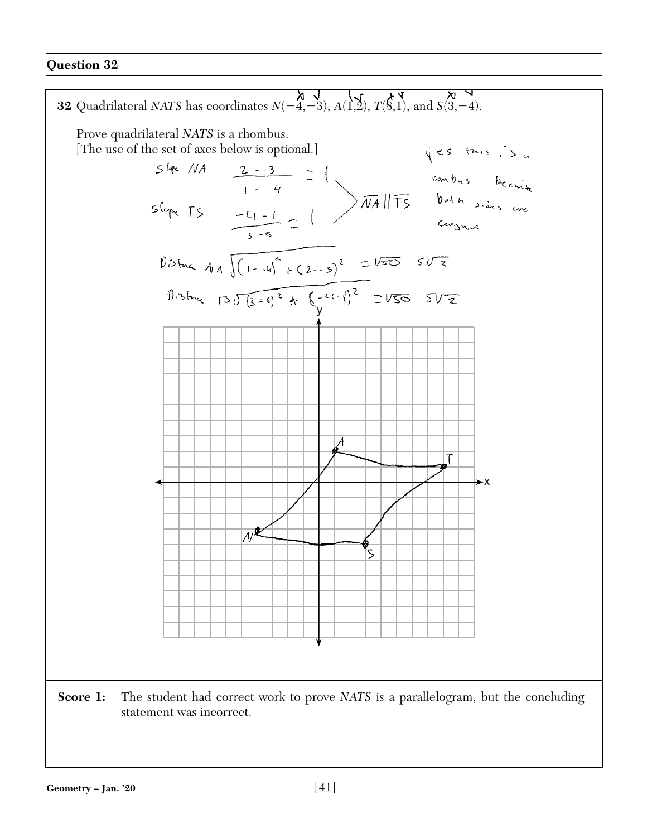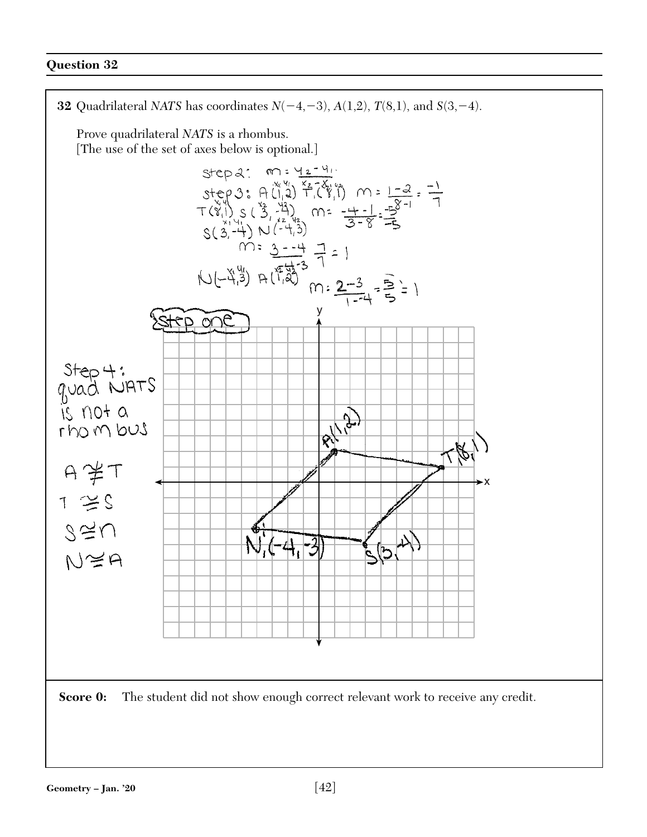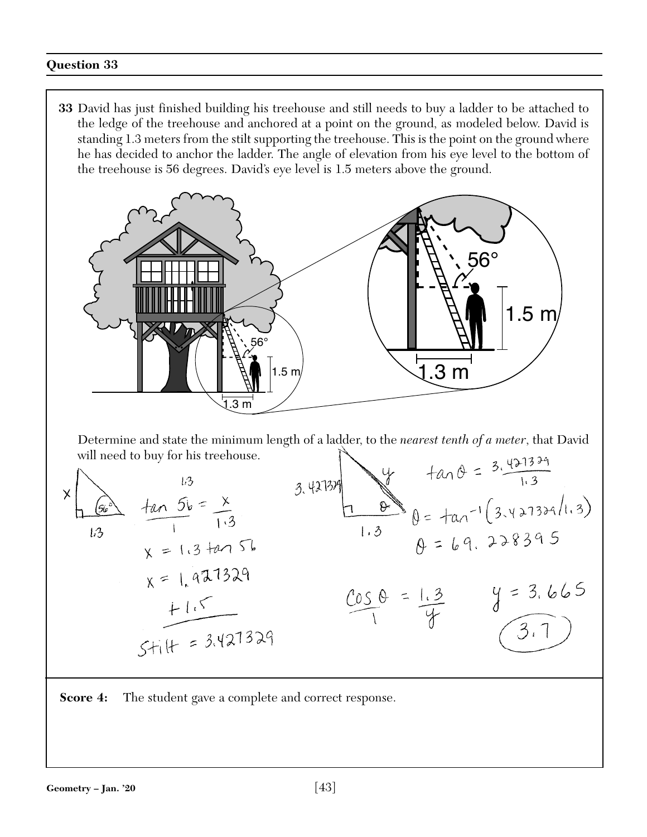**33** David has just finished building his treehouse and still needs to buy a ladder to be attached to the ledge of the treehouse and anchored at a point on the ground, as modeled below. David is standing 1.3 meters from the stilt supporting the treehouse. This is the point on the ground where he has decided to anchor the ladder. The angle of elevation from his eye level to the bottom of the treehouse is 56 degrees. David's eye level is 1.5 meters above the ground.



Determine and state the minimum length of a ladder, to the *nearest tenth of a meter*, that David will need to buy for his treehouse.  $\sum$  $1127379$ 

x  
\n
$$
4a \theta = 3.\frac{4}{13}
$$
  
\n $4a \theta = 3.\frac{4}{13}$   
\n $1.3$   
\n $1.3$   
\n $1.3$   
\n $1.3$   
\n $1.3$   
\n $1.3$   
\n $1.3$   
\n $1.3$   
\n $1.3$   
\n $1.3$   
\n $1.3$   
\n $1.3$   
\n $1.4$   
\n $1.3$   
\n $1.4$   
\n $1.5$   
\n $1.6$   
\n $1.3$   
\n $1.4$   
\n $1.5$   
\n $1.3$   
\n $1.4$   
\n $1.5$   
\n $1.3$   
\n $1.4$   
\n $1.5$   
\n $1.3$   
\n $1.4$   
\n $1.5$   
\n $1.3$   
\n $1.4$   
\n $1.5$   
\n $1.3$   
\n $1.4$   
\n $1.3$   
\n $1.4$   
\n $1.3$   
\n $1.4$   
\n $1.3$   
\n $1.4$   
\n $1.3$   
\n $1.4$   
\n $1.3$   
\n $1.4$   
\n $1.3$   
\n $1.4$   
\n $1.3$   
\n $1.4$   
\n $1.3$   
\n $1.4$   
\n $1.3$   
\n $1.4$   
\n $1.3$   
\n $1.4$   
\n $1.3$   
\n $1.4$   
\n $1.5$   
\n $1.5$   
\n $1.5$   
\n $1.5$ 

**Score 4:** The student gave a complete and correct response.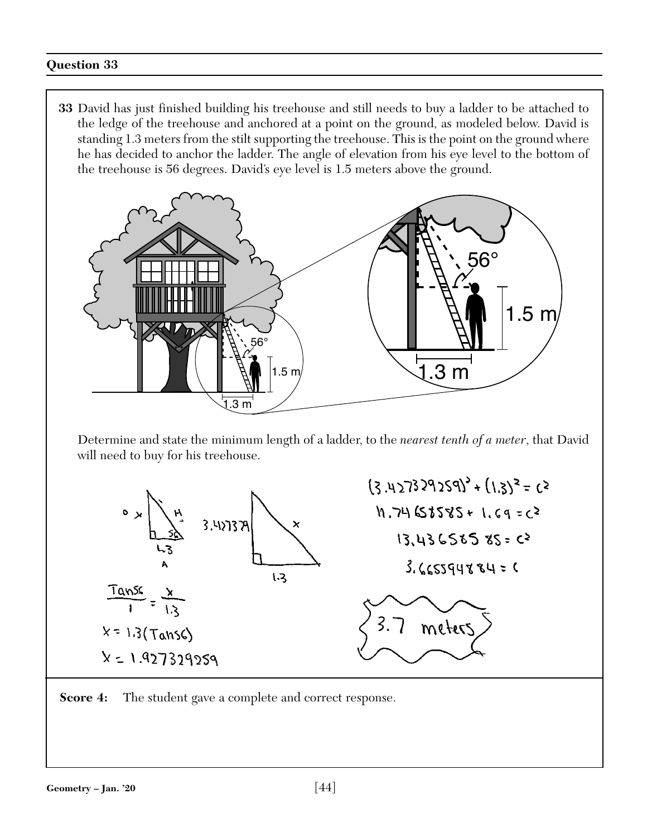**33** David has just finished building his treehouse and still needs to buy a ladder to be attached to the ledge of the treehouse and anchored at a point on the ground, as modeled below. David is standing 1.3 meters from the stilt supporting the treehouse. This is the point on the ground where he has decided to anchor the ladder. The angle of elevation from his eye level to the bottom of the treehouse is 56 degrees. David's eye level is 1.5 meters above the ground.





**Score 4:** The student gave a complete and correct response.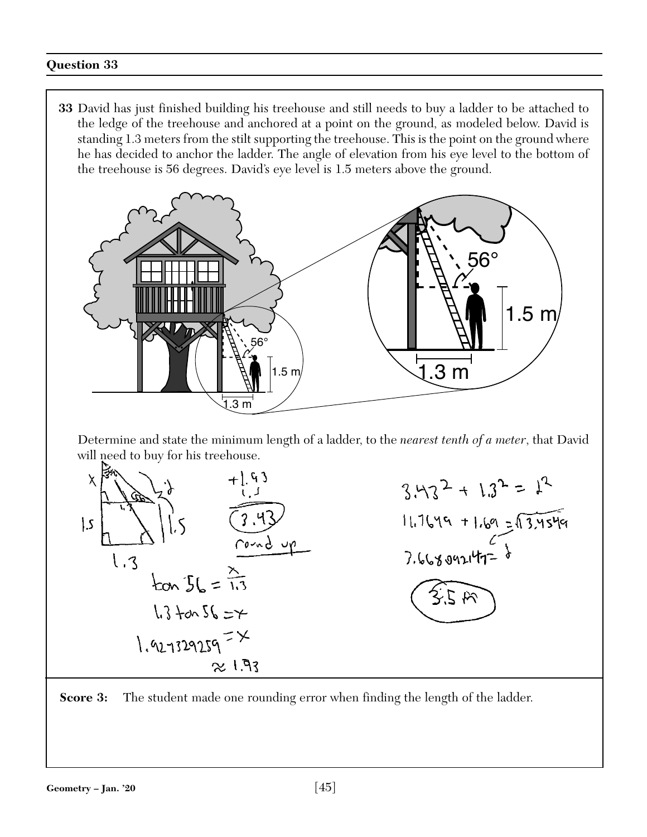**33** David has just finished building his treehouse and still needs to buy a ladder to be attached to the ledge of the treehouse and anchored at a point on the ground, as modeled below. David is standing 1.3 meters from the stilt supporting the treehouse. This is the point on the ground where he has decided to anchor the ladder. The angle of elevation from his eye level to the bottom of the treehouse is 56 degrees. David's eye level is 1.5 meters above the ground.





**Score 3:** The student made one rounding error when finding the length of the ladder.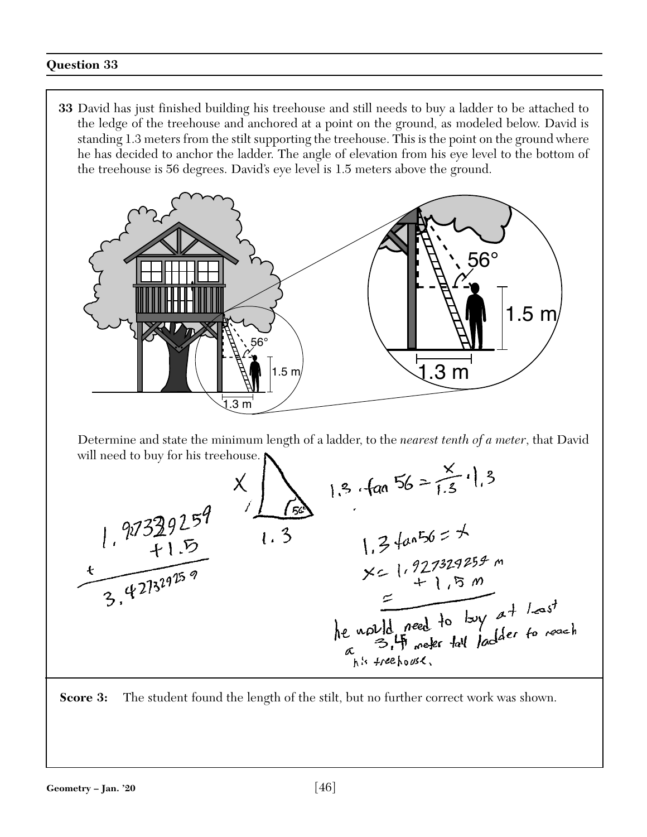**33** David has just finished building his treehouse and still needs to buy a ladder to be attached to the ledge of the treehouse and anchored at a point on the ground, as modeled below. David is standing 1.3 meters from the stilt supporting the treehouse. This is the point on the ground where he has decided to anchor the ladder. The angle of elevation from his eye level to the bottom of the treehouse is 56 degrees. David's eye level is 1.5 meters above the ground.





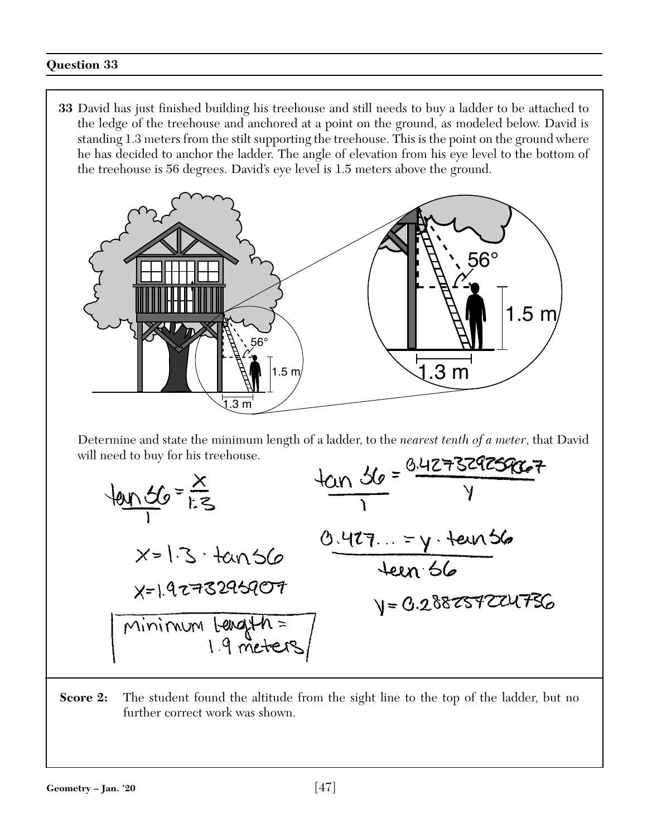**33** David has just finished building his treehouse and still needs to buy a ladder to be attached to the ledge of the treehouse and anchored at a point on the ground, as modeled below. David is standing 1.3 meters from the stilt supporting the treehouse. This is the point on the ground where he has decided to anchor the ladder. The angle of elevation from his eye level to the bottom of the treehouse is 56 degrees. David's eye level is 1.5 meters above the ground.



Determine and state the minimum length of a ladder, to the *nearest tenth of a meter*, that David will need to buy for his treehouse.



**Score 2:** The student found the altitude from the sight line to the top of the ladder, but no further correct work was shown.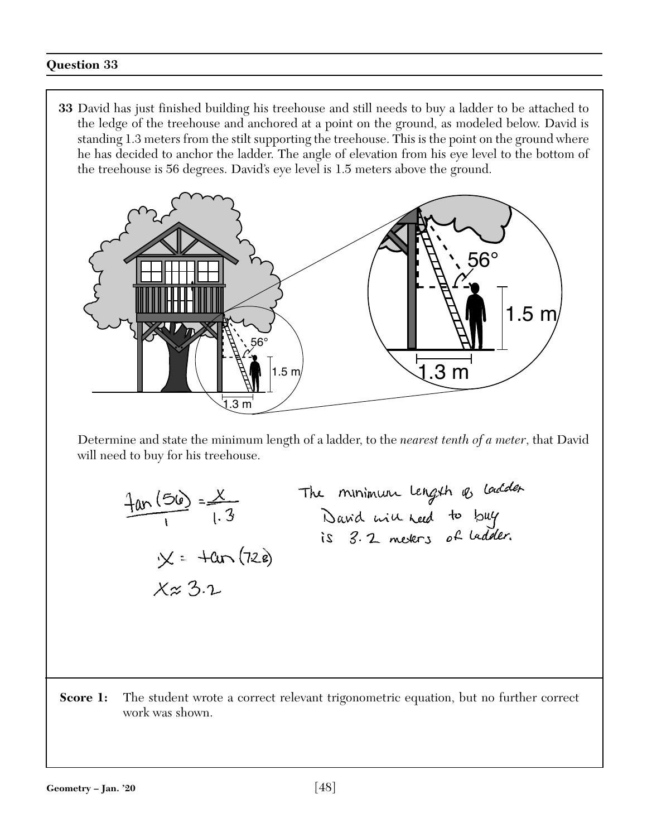**33** David has just finished building his treehouse and still needs to buy a ladder to be attached to the ledge of the treehouse and anchored at a point on the ground, as modeled below. David is standing 1.3 meters from the stilt supporting the treehouse. This is the point on the ground where he has decided to anchor the ladder. The angle of elevation from his eye level to the bottom of the treehouse is 56 degrees. David's eye level is 1.5 meters above the ground.



Determine and state the minimum length of a ladder, to the *nearest tenth of a meter*, that David will need to buy for his treehouse.

$$
\frac{4an(56)}{1} = \frac{x}{1.3}
$$
\nThe minimum length 45 loaded to buy is 3.2 meters of ladder.

\n
$$
x \approx 3.2
$$
\nThus, the number of sides are 3.2 meters.

Score 1: The student wrote a correct relevant trigonometric equation, but no further correct work was shown.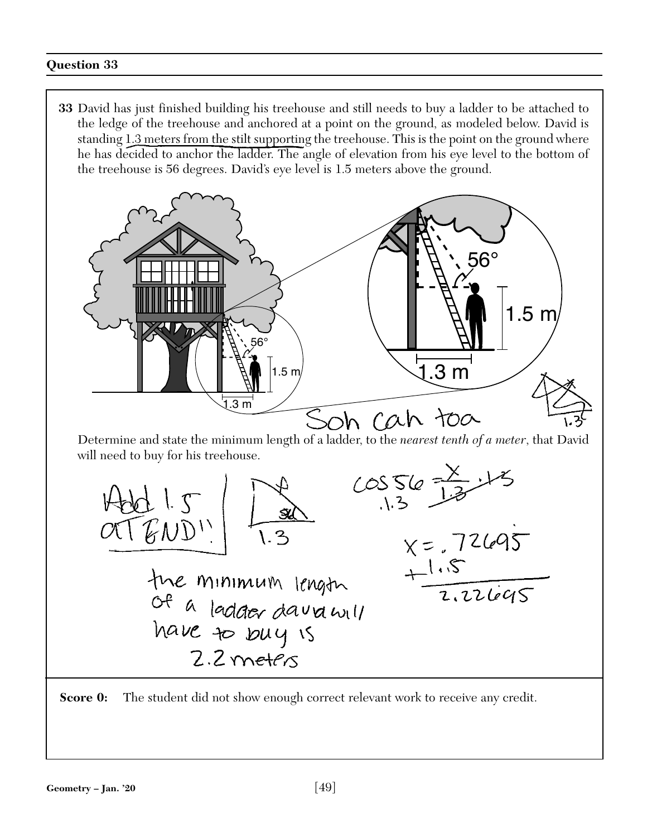**33** David has just finished building his treehouse and still needs to buy a ladder to be attached to the ledge of the treehouse and anchored at a point on the ground, as modeled below. David is standing 1.3 meters from the stilt supporting the treehouse. This is the point on the ground where he has decided to anchor the ladder. The angle of elevation from his eye level to the bottom of the treehouse is 56 degrees. David's eye level is 1.5 meters above the ground.





**Score 0:** The student did not show enough correct relevant work to receive any credit.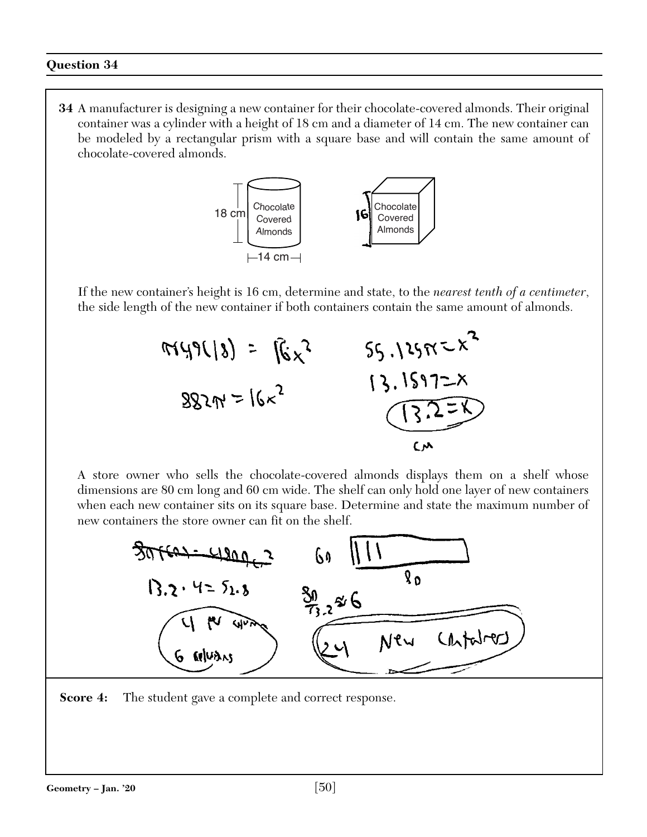**34** A manufacturer is designing a new container for their chocolate-covered almonds. Their original container was a cylinder with a height of 18 cm and a diameter of 14 cm. The new container can be modeled by a rectangular prism with a square base and will contain the same amount of chocolate-covered almonds.



If the new container's height is 16 cm, determine and state, to the *nearest tenth of a centimeter*, the side length of the new container if both containers contain the same amount of almonds.



A store owner who sells the chocolate-covered almonds displays them on a shelf whose dimensions are 80 cm long and 60 cm wide. The shelf can only hold one layer of new containers when each new container sits on its square base. Determine and state the maximum number of new containers the store owner can fit on the shelf.



**Score 4:** The student gave a complete and correct response.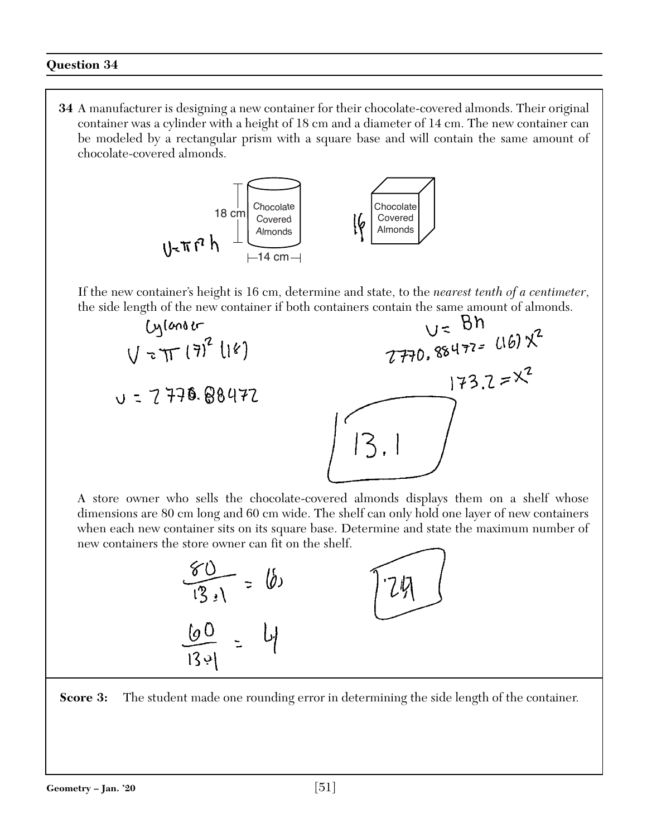**34** A manufacturer is designing a new container for their chocolate-covered almonds. Their original container was a cylinder with a height of 18 cm and a diameter of 14 cm. The new container can be modeled by a rectangular prism with a square base and will contain the same amount of chocolate-covered almonds.



If the new container's height is 16 cm, determine and state, to the *nearest tenth of a centimeter*,



A store owner who sells the chocolate-covered almonds displays them on a shelf whose dimensions are 80 cm long and 60 cm wide. The shelf can only hold one layer of new containers when each new container sits on its square base. Determine and state the maximum number of new containers the store owner can fit on the shelf.

| $\vee$<br>$\partial$ )<br>$\widehat{1\overline{3}}$ , $\overline{1}$ | 7以 |
|----------------------------------------------------------------------|----|
| 60<br>اڊ 3ا                                                          |    |

**Score 3:** The student made one rounding error in determining the side length of the container.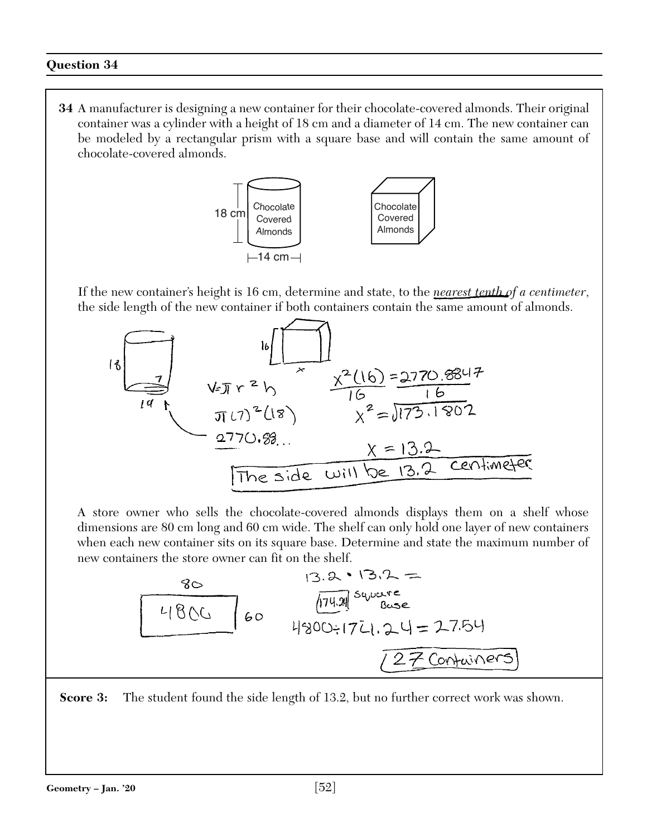**34** A manufacturer is designing a new container for their chocolate-covered almonds. Their original container was a cylinder with a height of 18 cm and a diameter of 14 cm. The new container can be modeled by a rectangular prism with a square base and will contain the same amount of chocolate-covered almonds.



If the new container's height is 16 cm, determine and state, to the *nearest tenth of a centimeter*, the side length of the new container if both containers contain the same amount of almonds.



A store owner who sells the chocolate-covered almonds displays them on a shelf whose dimensions are 80 cm long and 60 cm wide. The shelf can only hold one layer of new containers when each new container sits on its square base. Determine and state the maximum number of new containers the store owner can fit on the shelf.

**Score 3:** The student found the side length of 13.2, but no further correct work was shown.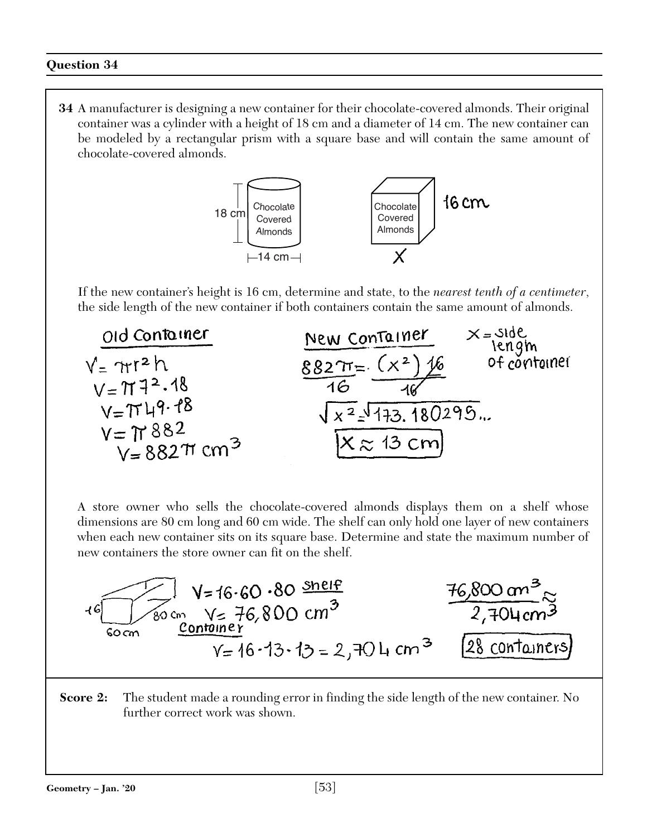**34** A manufacturer is designing a new container for their chocolate-covered almonds. Their original container was a cylinder with a height of 18 cm and a diameter of 14 cm. The new container can be modeled by a rectangular prism with a square base and will contain the same amount of chocolate-covered almonds.



If the new container's height is 16 cm, determine and state, to the *nearest tenth of a centimeter*,



A store owner who sells the chocolate-covered almonds displays them on a shelf whose dimensions are 80 cm long and 60 cm wide. The shelf can only hold one layer of new containers when each new container sits on its square base. Determine and state the maximum number of new containers the store owner can fit on the shelf.

$$
16\frac{1}{\frac{2}{\frac{30}{\text{cm}}}} = 16.60.80 \frac{\text{snelf}}{\text{2,704 cm}^{3}}
$$
  
16.800 cm<sup>3</sup>  
16.800 cm<sup>3</sup>  
16.800 cm<sup>3</sup>  
2,704 cm<sup>3</sup>  
28 contains

**Score 2:** The student made a rounding error in finding the side length of the new container. No further correct work was shown.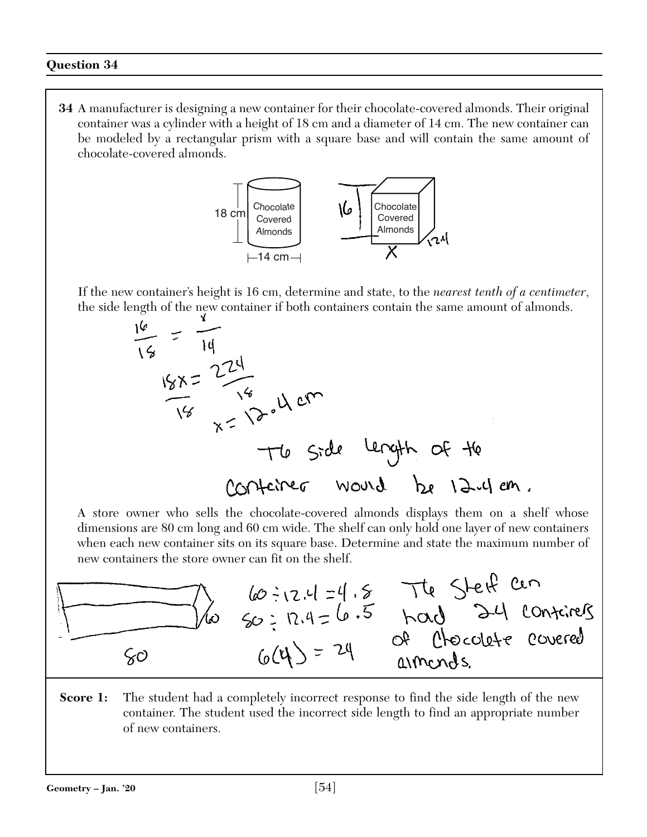**34** A manufacturer is designing a new container for their chocolate-covered almonds. Their original container was a cylinder with a height of 18 cm and a diameter of 14 cm. The new container can be modeled by a rectangular prism with a square base and will contain the same amount of chocolate-covered almonds.



If the new container's height is 16 cm, determine and state, to the *nearest tenth of a centimeter*, the side length of the new container if both containers contain the same amount of almonds.



A store owner who sells the chocolate-covered almonds displays them on a shelf whose dimensions are 80 cm long and 60 cm wide. The shelf can only hold one layer of new containers when each new container sits on its square base. Determine and state the maximum number of



**Score 1:** The student had a completely incorrect response to find the side length of the new container. The student used the incorrect side length to find an appropriate number of new containers.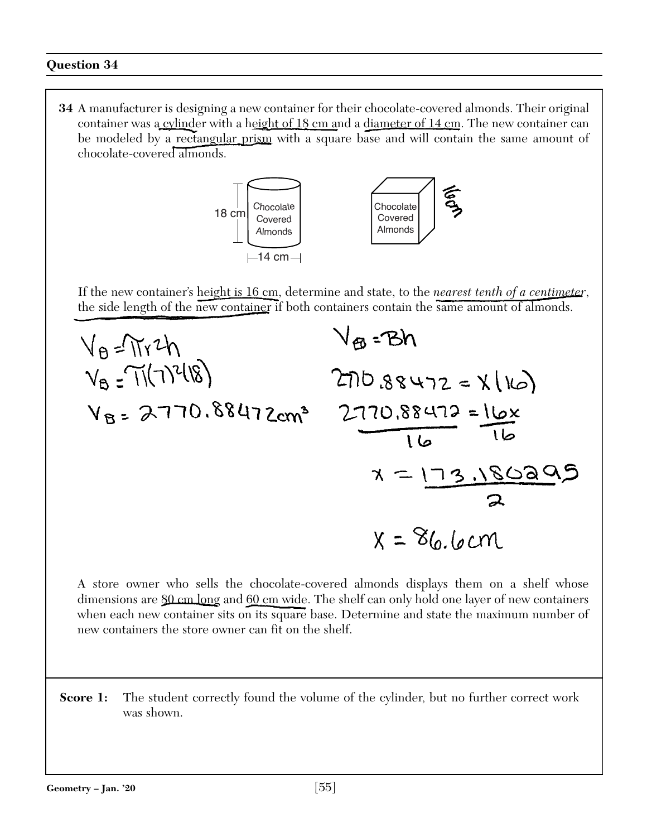**34** A manufacturer is designing a new container for their chocolate-covered almonds. Their original container was a cylinder with a height of 18 cm and a diameter of 14 cm. The new container can be modeled by a rectangular prism with a square base and will contain the same amount of chocolate-covered almonds.



If the new container's height is 16 cm, determine and state, to the *nearest tenth of a centimeter*, the side length of the new container if both containers contain the same amount of almonds.



A store owner who sells the chocolate-covered almonds displays them on a shelf whose dimensions are  $80 \text{ cm}$  long and 60 cm wide. The shelf can only hold one layer of new containers when each new container sits on its square base. Determine and state the maximum number of new containers the store owner can fit on the shelf.

**Score 1:** The student correctly found the volume of the cylinder, but no further correct work was shown.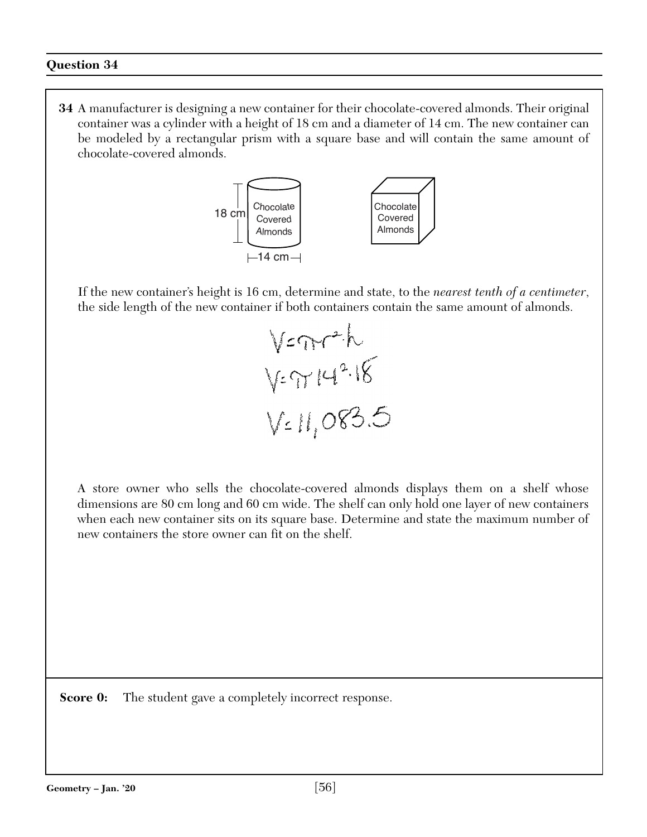**34** A manufacturer is designing a new container for their chocolate-covered almonds. Their original container was a cylinder with a height of 18 cm and a diameter of 14 cm. The new container can be modeled by a rectangular prism with a square base and will contain the same amount of chocolate-covered almonds.



If the new container's height is 16 cm, determine and state, to the *nearest tenth of a centimeter*, the side length of the new container if both containers contain the same amount of almonds.



A store owner who sells the chocolate-covered almonds displays them on a shelf whose dimensions are 80 cm long and 60 cm wide. The shelf can only hold one layer of new containers when each new container sits on its square base. Determine and state the maximum number of new containers the store owner can fit on the shelf.

**Score 0:** The student gave a completely incorrect response.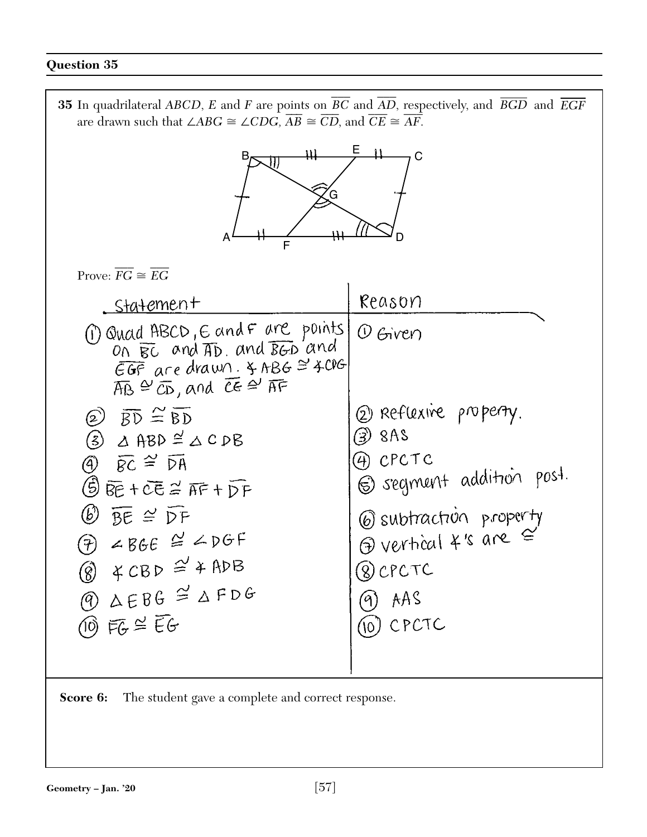**35** In quadrilateral *ABCD*, *E* and *F* are points on  $\overline{BC}$  and  $\overline{\phantom{a}}$ bints on *BC* and *AD*, respectively, and *BGD* and *EGF* are drawn such that  $\angle ABC \cong \angle CDG$ ,  $AB \cong CD$ , and  $CE \cong AF$ . E B C G A <del>/ ||| ///</del> D<br>F  $\overline{\phantom{a}}$  $\overline{\phantom{a}}$ Prove:  $FG \cong$ *EG* Reason . Statement M Quad ABCD, E and F are points  $O$  Given On BC and AD and BGD and  $EGF$  are drawn.  $3 ABC \cong 4CIG$  $\overline{AB} \cong \overline{CD}$ , and  $\overline{CE} \cong \overline{AF}$ 2 Reflexive property.  $\circledcirc$   $\overline{BD} \cong \overline{BD}$  $\circled{3}$  8AS  $(3)$   $\triangle$  ABD  $\cong$   $\triangle$  C DB (4) CPCTC  $\overline{4}$   $\overline{8}$   $\overline{6}$   $\cong$   $\overline{R}$ S segment addition post.  $\bigoplus \overline{\mathbb{B}e} + \overline{\mathbb{C}e} \cong \overline{\mathbb{AF}} + \overline{\mathbb{D}F}$  $\circledB$   $\overline{BE}$   $\cong$   $\overline{DF}$ 6 subtraction property  $\bigoplus$  vertical  $4's$  are  $\cong$  $\theta$   $\angle$  BGE  $\cong$   $\angle$  DGF  $\overset{\sim}{\textcircled{8}}$   $\textcircled{4}$  CBD  $\cong$   $\textcircled{4}$  ADB 8 CPCTC  $\overset{\circ}{\mathcal{O}}$   $\Delta$ EBG  $\cong$   $\Delta$ FDG  $AAS$ 9)  $\overline{10}$  FG  $\cong$  EG (10) CPCTC

**Score 6:** The student gave a complete and correct response.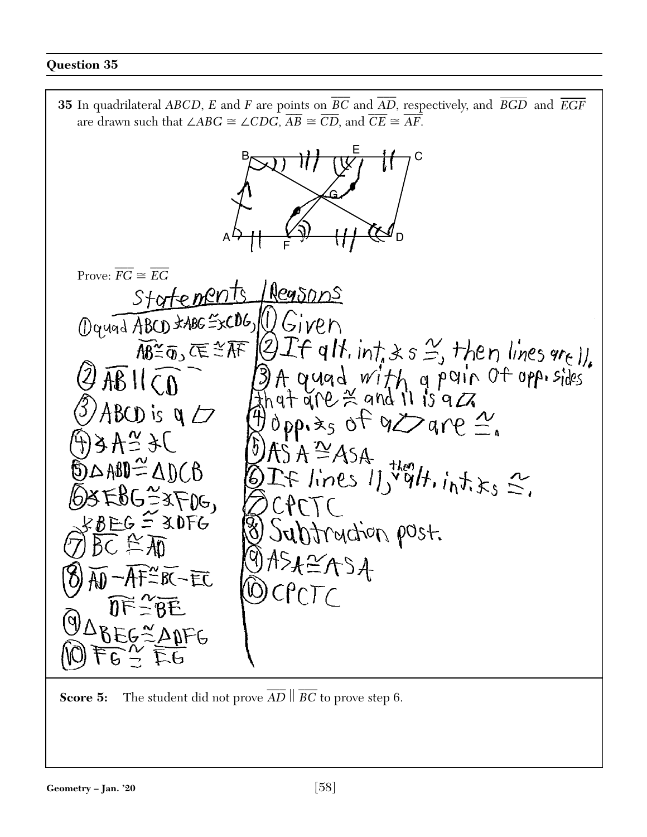**35** In quadrilateral *ABCD*, *E* and *F* are points on  $\overline{BC}$  and  $\overline{\phantom{a}}$ bints on *BC* and *AD*, respectively, and *BGD* and *EGF* are drawn such that  $\angle ABC \cong \angle CDG$ ,  $AB \cong CD$ , and  $CE \cong AF$ . C E G B



**Score 5:** The student did not prove  $\overline{AD}$   $\parallel$ *BC* to prove step 6.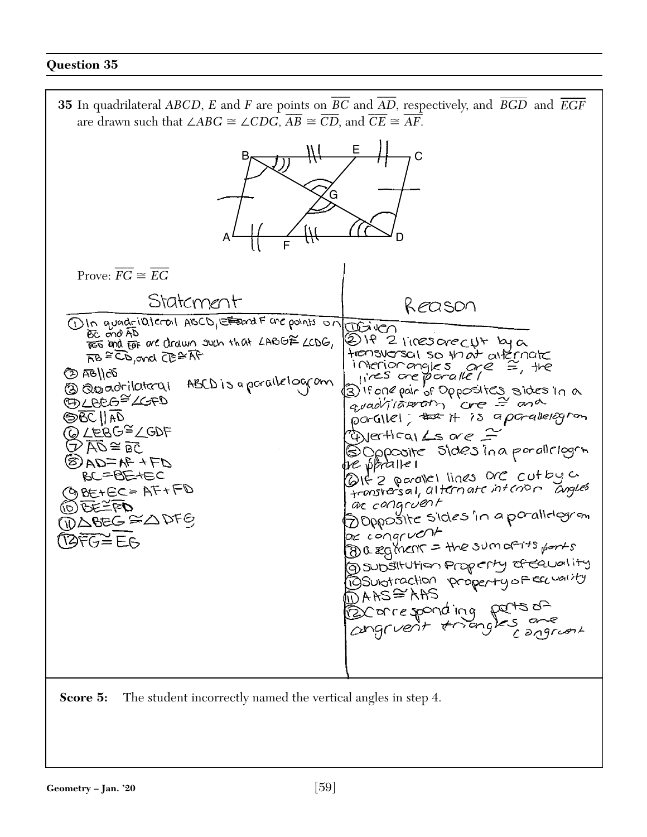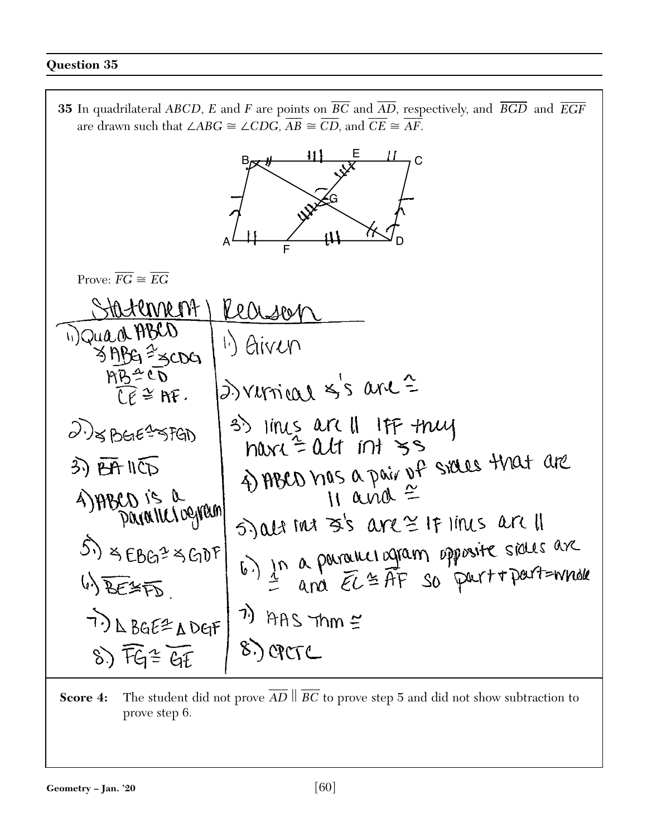**35** In quadrilateral *ABCD*, *E* and *F* are points on  $\overline{BC}$  and  $\overline{AD}$ , respectively, and  $\overline{BGD}$  and  $\overline{EGF}$  $\overline{\phantom{a}}$ are drawn such that  $\angle ABC \cong \angle CDG$ ,  $AB \cong CD$ , and  $CE \cong AF$ .



**Score 4:** The student did not prove  $\overline{\phantom{a}}$  $\overline{AD} \parallel$ \_\_\_ *BC* to prove step 5 and did not show subtraction to prove step 6.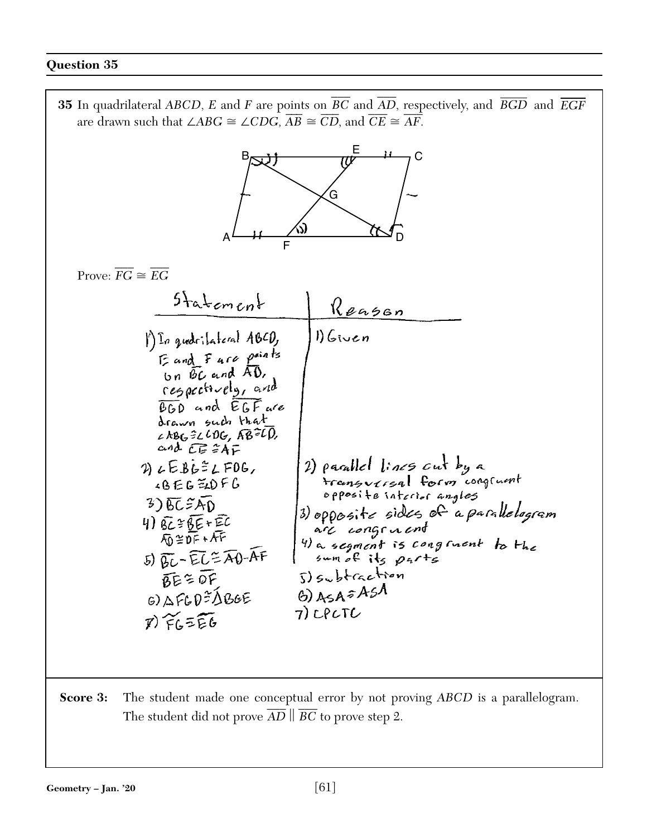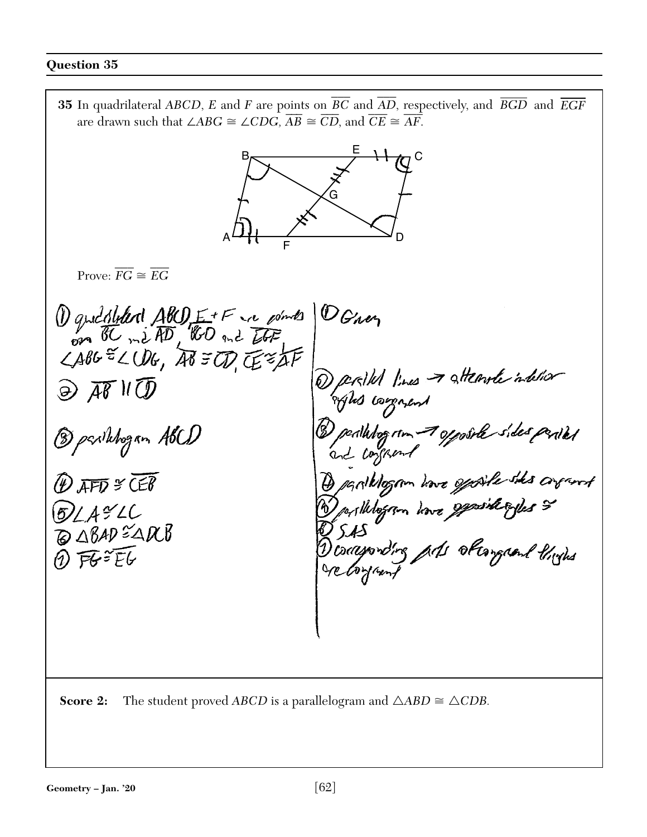**35** In quadrilateral *ABCD*, *E* and *F* are points on  $\overline{BC}$  and  $\overline{AD}$ , respectively, and  $\overline{BGD}$  and  $\overline{EGF}$  $\overline{\phantom{a}}$ are drawn such that  $\angle ABC \cong \angle CDG$ ,  $AB \cong CD$ , and  $CE \cong AF$ .

 $\neg$  C  $\overbrace{F}$  D E G A B

Prove:  $\overline{\phantom{a}}$  $FG \cong$  $\overline{\phantom{a}}$ *EG*

1 quedition ABO E+F in points OGner Derible lines & attender intelier  $\widehat{\bigoplus}$   $\overline{AB}$   $\mathcal{H}$ oftes company Dealhtogram 7 opposite sides partes 2 parihogan ABCD  $\overline{P}$  AFD  $\cong$  CEB Deposiblegam have general ogles &  $62/492C$ **BABAD EARB** conservating and obtempoint thinks  $0$  FG=  $E$ G ge toyant

**Score 2:** The student proved *ABCD* is a parallelogram and  $\triangle ABD \cong \triangle CDB$ .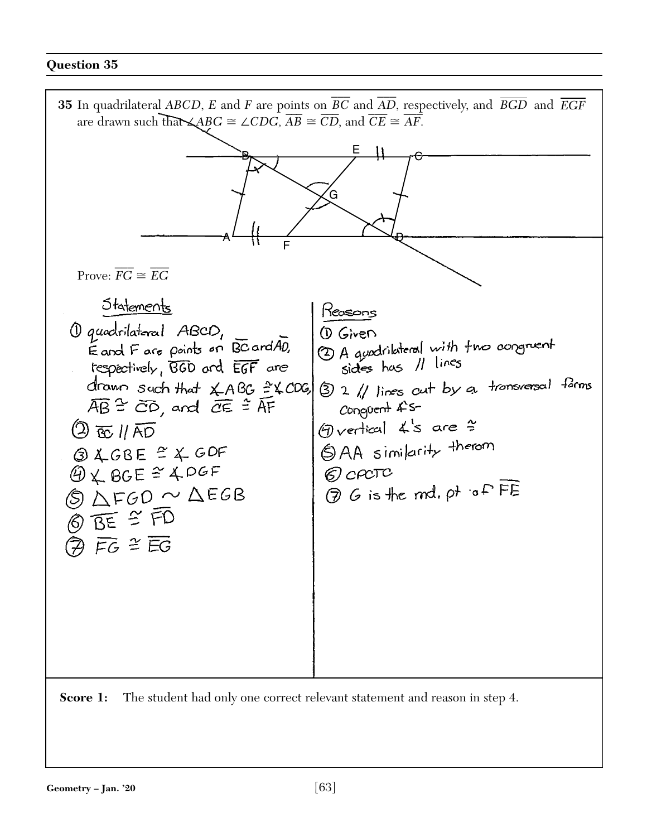**35** In quadrilateral *ABCD*, *E* and *F* are points on  $\overline{BC}$  and  $\overline{AD}$ , respectively, and  $\overline{BGD}$  and  $\overline{EGF}$  $\overline{\phantom{a}}$ are drawn such that  $\triangle ABC \cong \angle CDG$ ,  $AB \cong CD$ , and  $CE \cong AF$ . E B  $\overline{\Theta}$ G A /<br>F  $\overline{\phantom{a}}$  $\overline{\phantom{a}}$ Prove:  $FG \cong$ *EG* Statements Reasons 1 quadrilatoral ABCD, (D Given (2) A quadrilateral with two congruent<br>sides has 11 lines Eard Fare points on BC ard AD, tespectively, BGD and EGF are 3 2 // lines cut by a transversal farms drawn such that XABG = XCOG  $\overline{AB}$   $\cong$   $\overline{CD}$ , and  $\overline{CE}$   $\cong$   $\overline{AF}$  $Congvert$   $4$  s- $\bigoplus_{V}$  ertical  $4s$  are  $\approx$  $\textcircled{2}$  to 11 AD SAA similarity therom  $QACBE \cong XGDF$  $94.86E \n~106F$  $\odot$  croto (3) G is the md. pt of FE  $O$   $\Delta$ FGO  $\sim$   $\Delta$ EGB 直全雨  $\overline{Q}$  FG  $\cong$  EG **Score 1:** The student had only one correct relevant statement and reason in step 4.